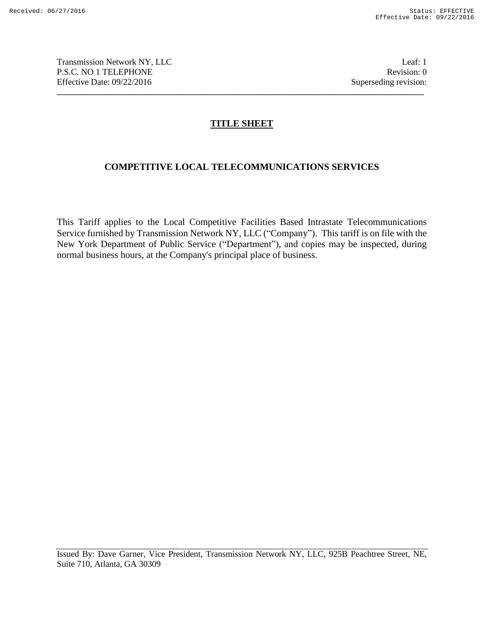Transmission Network NY, LLC and the contract of the contract of the contract of the contract of the contract of the contract of the contract of the contract of the contract of the contract of the contract of the contract P.S.C. NO 1 TELEPHONE Revision: 0 Effective Date: 09/22/2016 Superseding revision:

# **TITLE SHEET**

**\_\_\_\_\_\_\_\_\_\_\_\_\_\_\_\_\_\_\_\_\_\_\_\_\_\_\_\_\_\_\_\_\_\_\_\_\_\_\_\_\_\_\_\_\_\_\_\_\_\_\_\_\_\_\_\_\_\_\_\_\_\_\_\_\_\_\_\_\_\_\_\_\_\_\_\_\_\_\_\_\_\_\_\_\_\_\_\_\_\_\_\_\_**

# **COMPETITIVE LOCAL TELECOMMUNICATIONS SERVICES**

This Tariff applies to the Local Competitive Facilities Based Intrastate Telecommunications Service furnished by Transmission Network NY, LLC ("Company"). This tariff is on file with the New York Department of Public Service ("Department"), and copies may be inspected, during normal business hours, at the Company's principal place of business.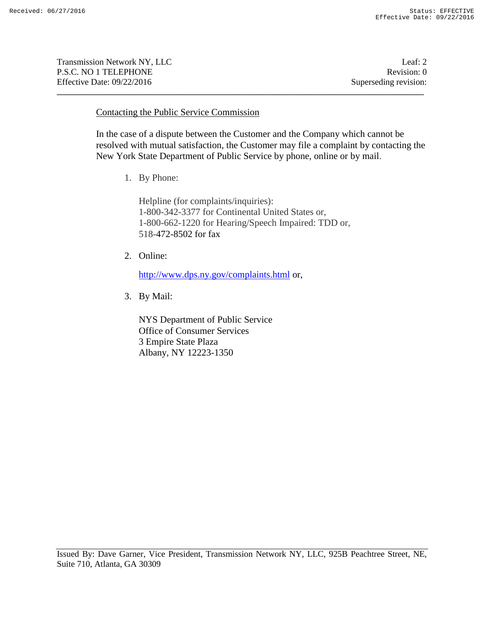Transmission Network NY, LLC 2 and 2 and 2 and 2 and 2 and 2 and 2 and 2 and 2 and 2 and 2 and 2 and 2 and 2 and 2 and 2 and 2 and 2 and 2 and 2 and 2 and 2 and 2 and 2 and 2 and 2 and 2 and 2 and 2 and 2 and 2 and 2 and 2 P.S.C. NO 1 TELEPHONE Revision: 0 Effective Date: 09/22/2016 Superseding revision:

#### Contacting the Public Service Commission

In the case of a dispute between the Customer and the Company which cannot be resolved with mutual satisfaction, the Customer may file a complaint by contacting the New York State Department of Public Service by phone, online or by mail.

1. By Phone:

Helpline (for complaints/inquiries): 1-800-342-3377 for Continental United States or, 1-800-662-1220 for Hearing/Speech Impaired: TDD or, 518-472-8502 for fax

**\_\_\_\_\_\_\_\_\_\_\_\_\_\_\_\_\_\_\_\_\_\_\_\_\_\_\_\_\_\_\_\_\_\_\_\_\_\_\_\_\_\_\_\_\_\_\_\_\_\_\_\_\_\_\_\_\_\_\_\_\_\_\_\_\_\_\_\_\_\_\_\_\_\_\_\_\_\_\_\_\_\_\_\_\_\_\_\_\_\_\_\_\_**

2. Online:

http://www.dps.ny.gov/complaints.html or,

3. By Mail:

NYS Department of Public Service Office of Consumer Services 3 Empire State Plaza Albany, NY 12223-1350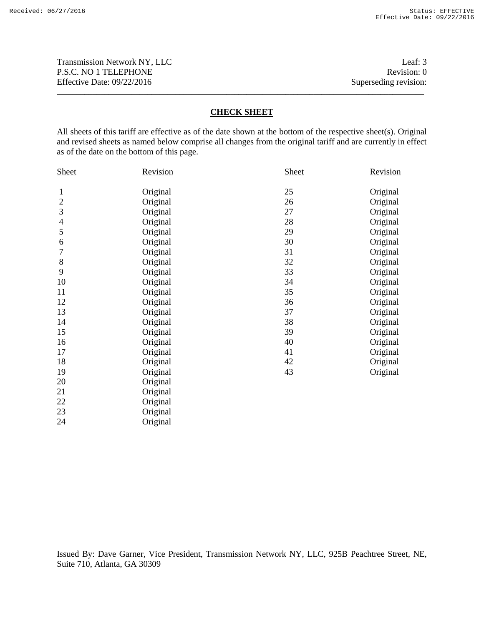Transmission Network NY, LLC<br>
P.S.C. NO 1 TELEPHONE<br>
Revision: 0 P.S.C. NO 1 TELEPHONE Effective Date: 09/22/2016 Superseding revision:

#### **CHECK SHEET**

**\_\_\_\_\_\_\_\_\_\_\_\_\_\_\_\_\_\_\_\_\_\_\_\_\_\_\_\_\_\_\_\_\_\_\_\_\_\_\_\_\_\_\_\_\_\_\_\_\_\_\_\_\_\_\_\_\_\_\_\_\_\_\_\_\_\_\_\_\_\_\_\_\_\_\_\_\_\_\_\_\_\_\_\_\_\_\_\_\_\_\_\_\_**

All sheets of this tariff are effective as of the date shown at the bottom of the respective sheet(s). Original and revised sheets as named below comprise all changes from the original tariff and are currently in effect as of the date on the bottom of this page.

| <b>Sheet</b> | <b>Revision</b> | <b>Sheet</b> | Revision |
|--------------|-----------------|--------------|----------|
| 1            | Original        | 25           | Original |
| $\sqrt{2}$   | Original        | 26           | Original |
|              |                 |              |          |
| 3            | Original        | 27           | Original |
| 4            | Original        | 28           | Original |
| 5            | Original        | 29           | Original |
| 6            | Original        | 30           | Original |
| 7            | Original        | 31           | Original |
| 8            | Original        | 32           | Original |
| 9            | Original        | 33           | Original |
| 10           | Original        | 34           | Original |
| 11           | Original        | 35           | Original |
| 12           | Original        | 36           | Original |
| 13           | Original        | 37           | Original |
| 14           | Original        | 38           | Original |
| 15           | Original        | 39           | Original |
| 16           | Original        | 40           | Original |
| 17           | Original        | 41           | Original |
| 18           | Original        | 42           | Original |
| 19           | Original        | 43           | Original |
| 20           | Original        |              |          |
| 21           | Original        |              |          |
| 22           | Original        |              |          |
| 23           | Original        |              |          |
| 24           | Original        |              |          |
|              |                 |              |          |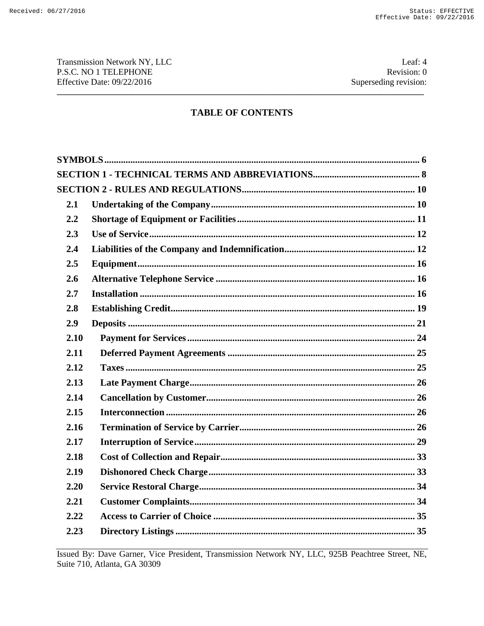Transmission Network NY, LLC P.S.C. NO 1 TELEPHONE Effective Date: 09/22/2016

Leaf: 4 Revision: 0 Superseding revision:

# **TABLE OF CONTENTS**

| 2.1  |  |  |
|------|--|--|
| 2.2  |  |  |
| 2.3  |  |  |
| 2.4  |  |  |
| 2.5  |  |  |
| 2.6  |  |  |
| 2.7  |  |  |
| 2.8  |  |  |
| 2.9  |  |  |
| 2.10 |  |  |
| 2.11 |  |  |
| 2.12 |  |  |
| 2.13 |  |  |
| 2.14 |  |  |
| 2.15 |  |  |
| 2.16 |  |  |
| 2.17 |  |  |
| 2.18 |  |  |
| 2.19 |  |  |
| 2.20 |  |  |
| 2.21 |  |  |
| 2.22 |  |  |
| 2.23 |  |  |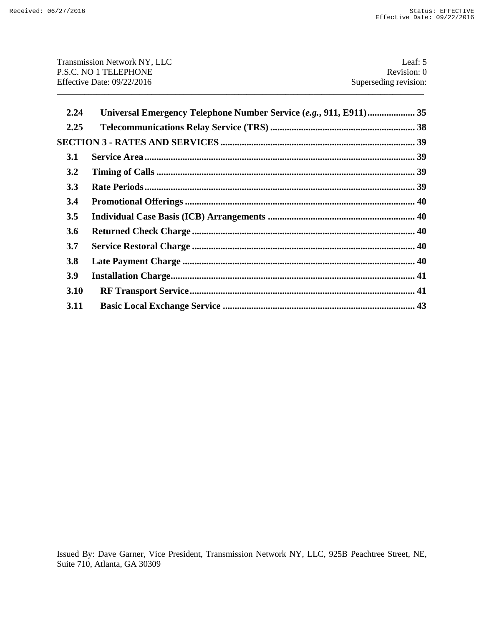| <b>Transmission Network NY, LLC</b> | Leaf: $5$             |
|-------------------------------------|-----------------------|
| P.S.C. NO 1 TELEPHONE               | Revision: 0           |
| Effective Date: $09/22/2016$        | Superseding revision: |
|                                     |                       |
|                                     |                       |

| 2.24 | Universal Emergency Telephone Number Service (e.g., 911, E911) 35 |  |
|------|-------------------------------------------------------------------|--|
| 2.25 |                                                                   |  |
|      |                                                                   |  |
| 3.1  |                                                                   |  |
| 3.2  |                                                                   |  |
| 3.3  |                                                                   |  |
| 3.4  |                                                                   |  |
| 3.5  |                                                                   |  |
| 3.6  |                                                                   |  |
| 3.7  |                                                                   |  |
| 3.8  |                                                                   |  |
| 3.9  |                                                                   |  |
| 3.10 |                                                                   |  |
| 3.11 |                                                                   |  |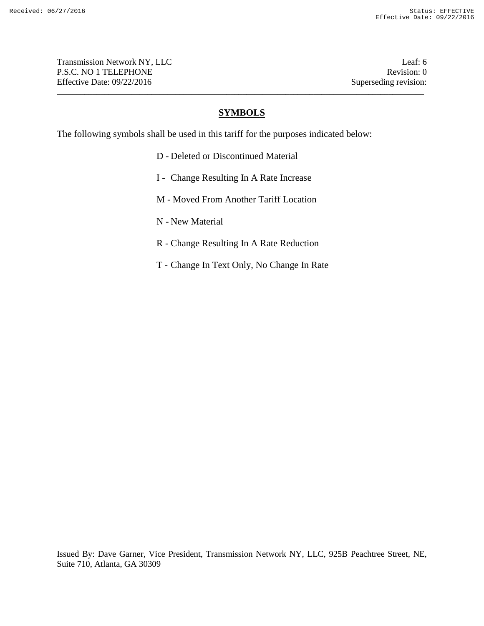Transmission Network NY, LLC **Leaf: 6** P.S.C. NO 1 TELEPHONE Revision: 0 Effective Date: 09/22/2016 Superseding revision:

### **SYMBOLS**

**\_\_\_\_\_\_\_\_\_\_\_\_\_\_\_\_\_\_\_\_\_\_\_\_\_\_\_\_\_\_\_\_\_\_\_\_\_\_\_\_\_\_\_\_\_\_\_\_\_\_\_\_\_\_\_\_\_\_\_\_\_\_\_\_\_\_\_\_\_\_\_\_\_\_\_\_\_\_\_\_\_\_\_\_\_\_\_\_\_\_\_\_\_**

The following symbols shall be used in this tariff for the purposes indicated below:

- D Deleted or Discontinued Material
- I Change Resulting In A Rate Increase
- M Moved From Another Tariff Location
- N New Material
- R Change Resulting In A Rate Reduction
- T Change In Text Only, No Change In Rate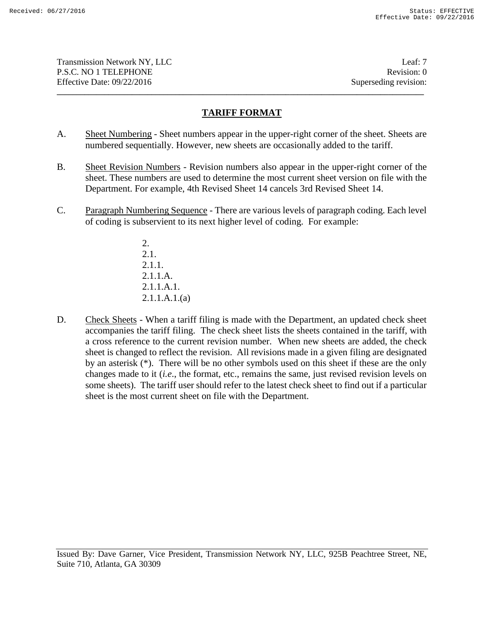Transmission Network NY, LLC and the contract of the contract of the contract of the contract of the contract of the contract of the contract of the contract of the contract of the contract of the contract of the contract P.S.C. NO 1 TELEPHONE Revision: 0 Effective Date: 09/22/2016 Superseding revision:

# **TARIFF FORMAT**

**\_\_\_\_\_\_\_\_\_\_\_\_\_\_\_\_\_\_\_\_\_\_\_\_\_\_\_\_\_\_\_\_\_\_\_\_\_\_\_\_\_\_\_\_\_\_\_\_\_\_\_\_\_\_\_\_\_\_\_\_\_\_\_\_\_\_\_\_\_\_\_\_\_\_\_\_\_\_\_\_\_\_\_\_\_\_\_\_\_\_\_\_\_**

- A. Sheet Numbering Sheet numbers appear in the upper-right corner of the sheet. Sheets are numbered sequentially. However, new sheets are occasionally added to the tariff.
- B. Sheet Revision Numbers Revision numbers also appear in the upper-right corner of the sheet. These numbers are used to determine the most current sheet version on file with the Department. For example, 4th Revised Sheet 14 cancels 3rd Revised Sheet 14.
- C. Paragraph Numbering Sequence There are various levels of paragraph coding. Each level of coding is subservient to its next higher level of coding. For example:
	- 2. 2.1. 2.1.1. 2.1.1.A. 2.1.1.A.1. 2.1.1.A.1.(a)
- D. Check Sheets When a tariff filing is made with the Department, an updated check sheet accompanies the tariff filing. The check sheet lists the sheets contained in the tariff, with a cross reference to the current revision number. When new sheets are added, the check sheet is changed to reflect the revision. All revisions made in a given filing are designated by an asterisk (\*). There will be no other symbols used on this sheet if these are the only changes made to it (*i.e*., the format, etc., remains the same, just revised revision levels on some sheets). The tariff user should refer to the latest check sheet to find out if a particular sheet is the most current sheet on file with the Department.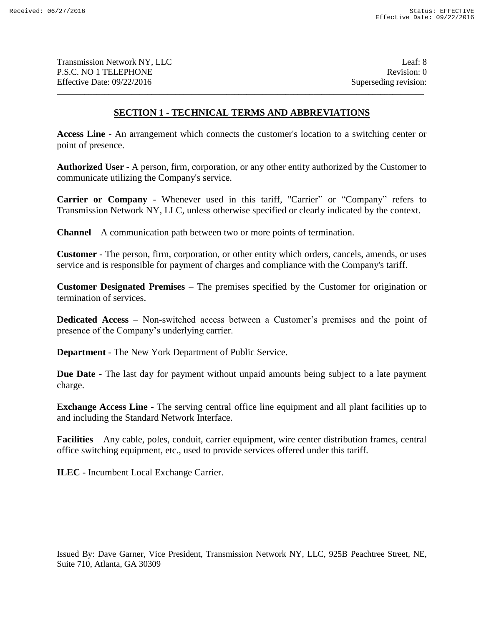Transmission Network NY, LLC 2008 and 2008 and 2008 and 2008 and 2008 and 2008 and 2008 and 2008 and 2008 and 2008 and 2008 and 2008 and 2008 and 2008 and 2008 and 2008 and 2008 and 2008 and 2008 and 2008 and 2008 and 2008 P.S.C. NO 1 TELEPHONE Revision: 0 Effective Date: 09/22/2016 Superseding revision:

# **SECTION 1 - TECHNICAL TERMS AND ABBREVIATIONS**

**\_\_\_\_\_\_\_\_\_\_\_\_\_\_\_\_\_\_\_\_\_\_\_\_\_\_\_\_\_\_\_\_\_\_\_\_\_\_\_\_\_\_\_\_\_\_\_\_\_\_\_\_\_\_\_\_\_\_\_\_\_\_\_\_\_\_\_\_\_\_\_\_\_\_\_\_\_\_\_\_\_\_\_\_\_\_\_\_\_\_\_\_\_**

**Access Line** - An arrangement which connects the customer's location to a switching center or point of presence.

**Authorized User** - A person, firm, corporation, or any other entity authorized by the Customer to communicate utilizing the Company's service.

**Carrier or Company** - Whenever used in this tariff, "Carrier" or "Company" refers to Transmission Network NY, LLC*,* unless otherwise specified or clearly indicated by the context.

**Channel** – A communication path between two or more points of termination.

**Customer** - The person, firm, corporation, or other entity which orders, cancels, amends, or uses service and is responsible for payment of charges and compliance with the Company's tariff.

**Customer Designated Premises** – The premises specified by the Customer for origination or termination of services.

**Dedicated Access** – Non-switched access between a Customer's premises and the point of presence of the Company's underlying carrier.

**Department** - The New York Department of Public Service.

**Due Date** - The last day for payment without unpaid amounts being subject to a late payment charge.

**Exchange Access Line** - The serving central office line equipment and all plant facilities up to and including the Standard Network Interface.

**Facilities** – Any cable, poles, conduit, carrier equipment, wire center distribution frames, central office switching equipment, etc., used to provide services offered under this tariff.

**ILEC** - Incumbent Local Exchange Carrier.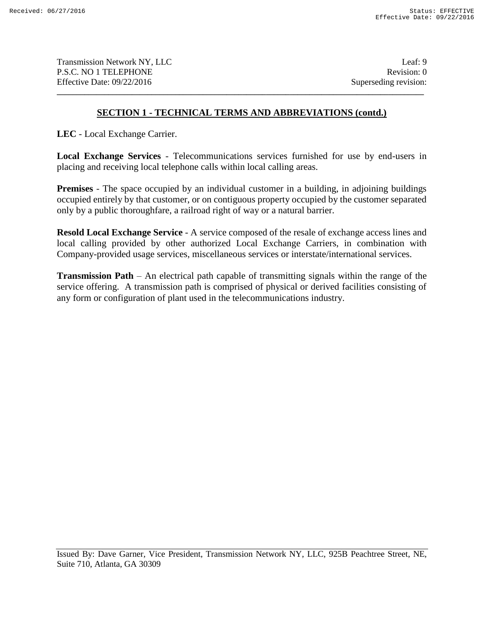Transmission Network NY, LLC and the contract of the contract of the contract of the contract of the contract of the contract of the contract of the contract of the contract of the contract of the contract of the contract P.S.C. NO 1 TELEPHONE Revision: 0 Effective Date: 09/22/2016 Superseding revision:

# **SECTION 1 - TECHNICAL TERMS AND ABBREVIATIONS (contd.)**

**\_\_\_\_\_\_\_\_\_\_\_\_\_\_\_\_\_\_\_\_\_\_\_\_\_\_\_\_\_\_\_\_\_\_\_\_\_\_\_\_\_\_\_\_\_\_\_\_\_\_\_\_\_\_\_\_\_\_\_\_\_\_\_\_\_\_\_\_\_\_\_\_\_\_\_\_\_\_\_\_\_\_\_\_\_\_\_\_\_\_\_\_\_**

**LEC** - Local Exchange Carrier.

**Local Exchange Services** - Telecommunications services furnished for use by end-users in placing and receiving local telephone calls within local calling areas.

**Premises** - The space occupied by an individual customer in a building, in adjoining buildings occupied entirely by that customer, or on contiguous property occupied by the customer separated only by a public thoroughfare, a railroad right of way or a natural barrier.

**Resold Local Exchange Service** - A service composed of the resale of exchange access lines and local calling provided by other authorized Local Exchange Carriers, in combination with Company-provided usage services, miscellaneous services or interstate/international services.

**Transmission Path** – An electrical path capable of transmitting signals within the range of the service offering. A transmission path is comprised of physical or derived facilities consisting of any form or configuration of plant used in the telecommunications industry.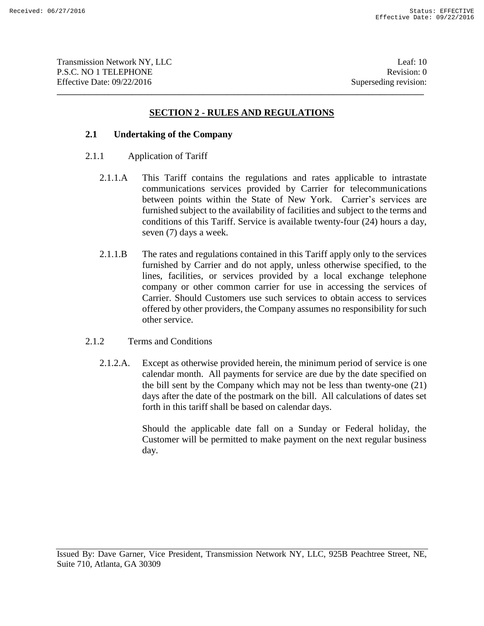Transmission Network NY, LLC 10 and 10 and 10 and 10 and 10 and 10 and 10 and 10 and 10 and 10 and 10 and 10 and 10 and 10 and 10 and 10 and 10 and 10 and 10 and 10 and 10 and 10 and 10 and 10 and 10 and 10 and 10 and 10 a P.S.C. NO 1 TELEPHONE Revision: 0 Effective Date: 09/22/2016 Superseding revision:

# **SECTION 2 - RULES AND REGULATIONS**

**\_\_\_\_\_\_\_\_\_\_\_\_\_\_\_\_\_\_\_\_\_\_\_\_\_\_\_\_\_\_\_\_\_\_\_\_\_\_\_\_\_\_\_\_\_\_\_\_\_\_\_\_\_\_\_\_\_\_\_\_\_\_\_\_\_\_\_\_\_\_\_\_\_\_\_\_\_\_\_\_\_\_\_\_\_\_\_\_\_\_\_\_\_**

### **2.1 Undertaking of the Company**

- 2.1.1 Application of Tariff
	- 2.1.1.A This Tariff contains the regulations and rates applicable to intrastate communications services provided by Carrier for telecommunications between points within the State of New York. Carrier's services are furnished subject to the availability of facilities and subject to the terms and conditions of this Tariff. Service is available twenty-four (24) hours a day, seven (7) days a week.
	- 2.1.1.B The rates and regulations contained in this Tariff apply only to the services furnished by Carrier and do not apply, unless otherwise specified, to the lines, facilities, or services provided by a local exchange telephone company or other common carrier for use in accessing the services of Carrier. Should Customers use such services to obtain access to services offered by other providers, the Company assumes no responsibility for such other service.
- 2.1.2 Terms and Conditions
	- 2.1.2.A. Except as otherwise provided herein, the minimum period of service is one calendar month. All payments for service are due by the date specified on the bill sent by the Company which may not be less than twenty-one (21) days after the date of the postmark on the bill. All calculations of dates set forth in this tariff shall be based on calendar days.

Should the applicable date fall on a Sunday or Federal holiday, the Customer will be permitted to make payment on the next regular business day.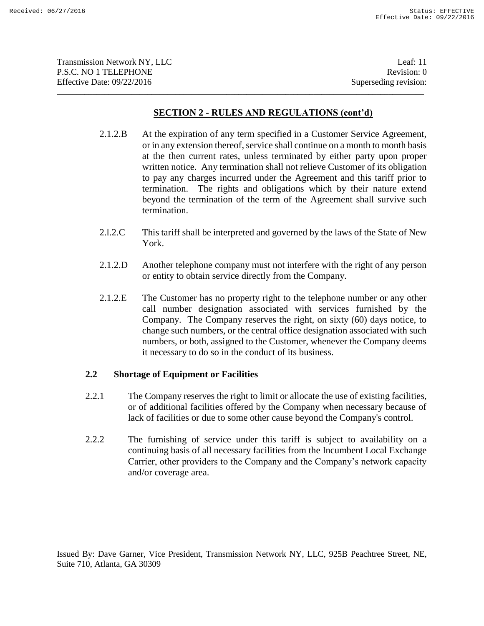| Transmission Network NY, LLC | Leaf: $11$            |
|------------------------------|-----------------------|
| <b>P.S.C. NO 1 TELEPHONE</b> | Revision: 0           |
| Effective Date: $09/22/2016$ | Superseding revision: |
|                              |                       |

- 2.1.2.B At the expiration of any term specified in a Customer Service Agreement, or in any extension thereof, service shall continue on a month to month basis at the then current rates, unless terminated by either party upon proper written notice. Any termination shall not relieve Customer of its obligation to pay any charges incurred under the Agreement and this tariff prior to termination. The rights and obligations which by their nature extend beyond the termination of the term of the Agreement shall survive such termination.
- 2.l.2.C This tariff shall be interpreted and governed by the laws of the State of New York.
- 2.1.2.D Another telephone company must not interfere with the right of any person or entity to obtain service directly from the Company.
- 2.1.2.E The Customer has no property right to the telephone number or any other call number designation associated with services furnished by the Company. The Company reserves the right, on sixty (60) days notice, to change such numbers, or the central office designation associated with such numbers, or both, assigned to the Customer, whenever the Company deems it necessary to do so in the conduct of its business.

# **2.2 Shortage of Equipment or Facilities**

- 2.2.1 The Company reserves the right to limit or allocate the use of existing facilities, or of additional facilities offered by the Company when necessary because of lack of facilities or due to some other cause beyond the Company's control.
- 2.2.2 The furnishing of service under this tariff is subject to availability on a continuing basis of all necessary facilities from the Incumbent Local Exchange Carrier, other providers to the Company and the Company's network capacity and/or coverage area.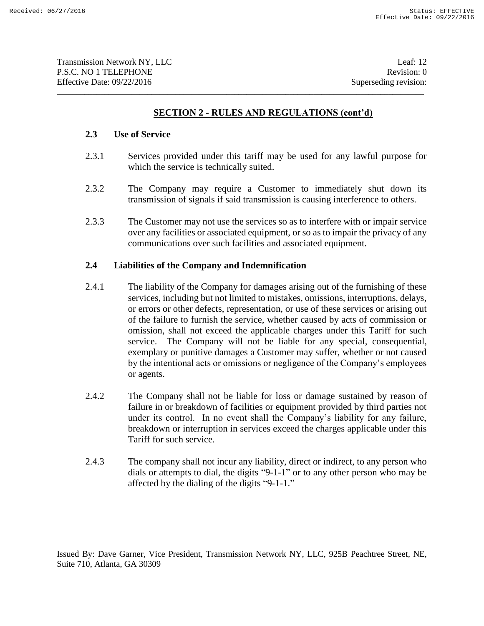**\_\_\_\_\_\_\_\_\_\_\_\_\_\_\_\_\_\_\_\_\_\_\_\_\_\_\_\_\_\_\_\_\_\_\_\_\_\_\_\_\_\_\_\_\_\_\_\_\_\_\_\_\_\_\_\_\_\_\_\_\_\_\_\_\_\_\_\_\_\_\_\_\_\_\_\_\_\_\_\_\_\_\_\_\_\_\_\_\_\_\_\_\_**

### **2.3 Use of Service**

- 2.3.1 Services provided under this tariff may be used for any lawful purpose for which the service is technically suited.
- 2.3.2 The Company may require a Customer to immediately shut down its transmission of signals if said transmission is causing interference to others.
- 2.3.3 The Customer may not use the services so as to interfere with or impair service over any facilities or associated equipment, or so as to impair the privacy of any communications over such facilities and associated equipment.

# **2.4 Liabilities of the Company and Indemnification**

- 2.4.1 The liability of the Company for damages arising out of the furnishing of these services, including but not limited to mistakes, omissions, interruptions, delays, or errors or other defects, representation, or use of these services or arising out of the failure to furnish the service, whether caused by acts of commission or omission, shall not exceed the applicable charges under this Tariff for such service. The Company will not be liable for any special, consequential, exemplary or punitive damages a Customer may suffer, whether or not caused by the intentional acts or omissions or negligence of the Company's employees or agents.
- 2.4.2 The Company shall not be liable for loss or damage sustained by reason of failure in or breakdown of facilities or equipment provided by third parties not under its control. In no event shall the Company's liability for any failure, breakdown or interruption in services exceed the charges applicable under this Tariff for such service.
- 2.4.3 The company shall not incur any liability, direct or indirect, to any person who dials or attempts to dial, the digits "9-1-1" or to any other person who may be affected by the dialing of the digits "9-1-1."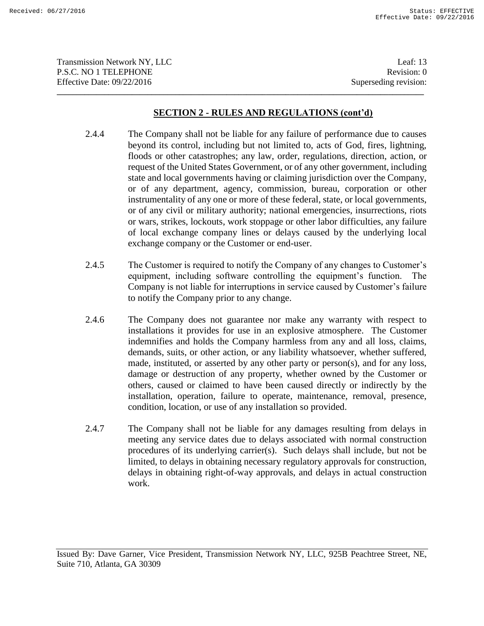| <b>Transmission Network NY, LLC</b> | Leaf: $13$            |
|-------------------------------------|-----------------------|
| P.S.C. NO 1 TELEPHONE               | Revision: 0           |
| Effective Date: 09/22/2016          | Superseding revision: |
|                                     |                       |

- 2.4.4 The Company shall not be liable for any failure of performance due to causes beyond its control, including but not limited to, acts of God, fires, lightning, floods or other catastrophes; any law, order, regulations, direction, action, or request of the United States Government, or of any other government, including state and local governments having or claiming jurisdiction over the Company, or of any department, agency, commission, bureau, corporation or other instrumentality of any one or more of these federal, state, or local governments, or of any civil or military authority; national emergencies, insurrections, riots or wars, strikes, lockouts, work stoppage or other labor difficulties, any failure of local exchange company lines or delays caused by the underlying local exchange company or the Customer or end-user.
- 2.4.5 The Customer is required to notify the Company of any changes to Customer's equipment, including software controlling the equipment's function. The Company is not liable for interruptions in service caused by Customer's failure to notify the Company prior to any change.
- 2.4.6 The Company does not guarantee nor make any warranty with respect to installations it provides for use in an explosive atmosphere. The Customer indemnifies and holds the Company harmless from any and all loss, claims, demands, suits, or other action, or any liability whatsoever, whether suffered, made, instituted, or asserted by any other party or person(s), and for any loss, damage or destruction of any property, whether owned by the Customer or others, caused or claimed to have been caused directly or indirectly by the installation, operation, failure to operate, maintenance, removal, presence, condition, location, or use of any installation so provided.
- 2.4.7 The Company shall not be liable for any damages resulting from delays in meeting any service dates due to delays associated with normal construction procedures of its underlying carrier(s). Such delays shall include, but not be limited, to delays in obtaining necessary regulatory approvals for construction, delays in obtaining right-of-way approvals, and delays in actual construction work.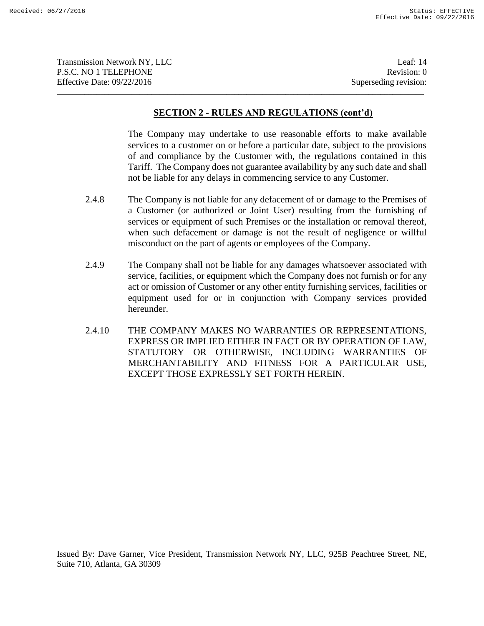| <b>Transmission Network NY, LLC</b> | Leaf: $14$            |
|-------------------------------------|-----------------------|
| P.S.C. NO 1 TELEPHONE               | Revision: 0           |
| Effective Date: $09/22/2016$        | Superseding revision: |
|                                     |                       |

The Company may undertake to use reasonable efforts to make available services to a customer on or before a particular date, subject to the provisions of and compliance by the Customer with, the regulations contained in this Tariff. The Company does not guarantee availability by any such date and shall not be liable for any delays in commencing service to any Customer.

- 2.4.8 The Company is not liable for any defacement of or damage to the Premises of a Customer (or authorized or Joint User) resulting from the furnishing of services or equipment of such Premises or the installation or removal thereof, when such defacement or damage is not the result of negligence or willful misconduct on the part of agents or employees of the Company.
- 2.4.9 The Company shall not be liable for any damages whatsoever associated with service, facilities, or equipment which the Company does not furnish or for any act or omission of Customer or any other entity furnishing services, facilities or equipment used for or in conjunction with Company services provided hereunder.
- 2.4.10 THE COMPANY MAKES NO WARRANTIES OR REPRESENTATIONS, EXPRESS OR IMPLIED EITHER IN FACT OR BY OPERATION OF LAW, STATUTORY OR OTHERWISE, INCLUDING WARRANTIES OF MERCHANTABILITY AND FITNESS FOR A PARTICULAR USE, EXCEPT THOSE EXPRESSLY SET FORTH HEREIN.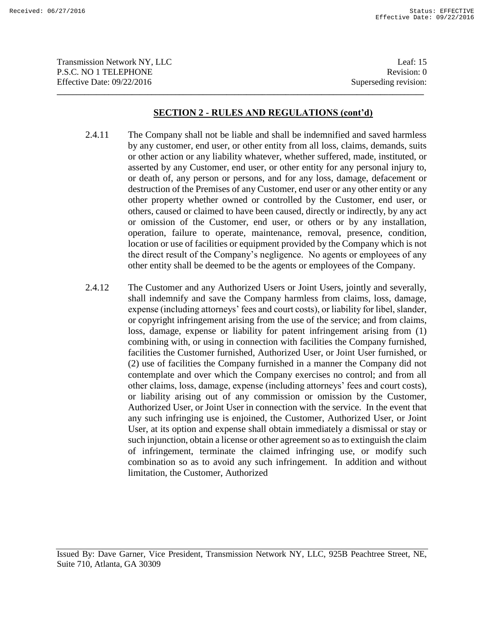Transmission Network NY, LLC 15 and 15 and 15 and 15 and 16 and 16 and 16 and 16 and 16 and 16 and 16 and 16 and 16 and 16 and 16 and 16 and 16 and 16 and 16 and 16 and 16 and 16 and 16 and 16 and 16 and 16 and 16 and 16 a P.S.C. NO 1 TELEPHONE Revision: 0 Effective Date: 09/22/2016 Superseding revision: **\_\_\_\_\_\_\_\_\_\_\_\_\_\_\_\_\_\_\_\_\_\_\_\_\_\_\_\_\_\_\_\_\_\_\_\_\_\_\_\_\_\_\_\_\_\_\_\_\_\_\_\_\_\_\_\_\_\_\_\_\_\_\_\_\_\_\_\_\_\_\_\_\_\_\_\_\_\_\_\_\_\_\_\_\_\_\_\_\_\_\_\_\_**

### **SECTION 2 - RULES AND REGULATIONS (cont'd)**

- 2.4.11 The Company shall not be liable and shall be indemnified and saved harmless by any customer, end user, or other entity from all loss, claims, demands, suits or other action or any liability whatever, whether suffered, made, instituted, or asserted by any Customer, end user, or other entity for any personal injury to, or death of, any person or persons, and for any loss, damage, defacement or destruction of the Premises of any Customer, end user or any other entity or any other property whether owned or controlled by the Customer, end user, or others, caused or claimed to have been caused, directly or indirectly, by any act or omission of the Customer, end user, or others or by any installation, operation, failure to operate, maintenance, removal, presence, condition, location or use of facilities or equipment provided by the Company which is not the direct result of the Company's negligence. No agents or employees of any other entity shall be deemed to be the agents or employees of the Company.
- 2.4.12 The Customer and any Authorized Users or Joint Users, jointly and severally, shall indemnify and save the Company harmless from claims, loss, damage, expense (including attorneys' fees and court costs), or liability for libel, slander, or copyright infringement arising from the use of the service; and from claims, loss, damage, expense or liability for patent infringement arising from (1) combining with, or using in connection with facilities the Company furnished, facilities the Customer furnished, Authorized User, or Joint User furnished, or (2) use of facilities the Company furnished in a manner the Company did not contemplate and over which the Company exercises no control; and from all other claims, loss, damage, expense (including attorneys' fees and court costs), or liability arising out of any commission or omission by the Customer, Authorized User, or Joint User in connection with the service. In the event that any such infringing use is enjoined, the Customer, Authorized User, or Joint User, at its option and expense shall obtain immediately a dismissal or stay or such injunction, obtain a license or other agreement so as to extinguish the claim of infringement, terminate the claimed infringing use, or modify such combination so as to avoid any such infringement. In addition and without limitation, the Customer, Authorized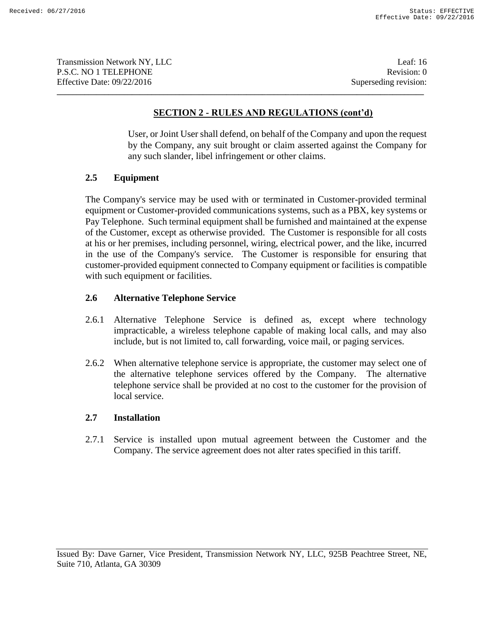Transmission Network NY, LLC 16 and 16 and 16 and 16 and 16 and 16 and 16 and 16 and 16 and 16 and 16 and 16 and 16 and 16 and 16 and 16 and 16 and 16 and 16 and 16 and 16 and 16 and 16 and 16 and 16 and 16 and 16 and 16 a P.S.C. NO 1 TELEPHONE Revision: 0 Effective Date: 09/22/2016 Superseding revision: **\_\_\_\_\_\_\_\_\_\_\_\_\_\_\_\_\_\_\_\_\_\_\_\_\_\_\_\_\_\_\_\_\_\_\_\_\_\_\_\_\_\_\_\_\_\_\_\_\_\_\_\_\_\_\_\_\_\_\_\_\_\_\_\_\_\_\_\_\_\_\_\_\_\_\_\_\_\_\_\_\_\_\_\_\_\_\_\_\_\_\_\_\_**

# **SECTION 2 - RULES AND REGULATIONS (cont'd)**

User, or Joint User shall defend, on behalf of the Company and upon the request by the Company, any suit brought or claim asserted against the Company for any such slander, libel infringement or other claims.

# **2.5 Equipment**

The Company's service may be used with or terminated in Customer-provided terminal equipment or Customer-provided communications systems, such as a PBX, key systems or Pay Telephone. Such terminal equipment shall be furnished and maintained at the expense of the Customer, except as otherwise provided. The Customer is responsible for all costs at his or her premises, including personnel, wiring, electrical power, and the like, incurred in the use of the Company's service. The Customer is responsible for ensuring that customer-provided equipment connected to Company equipment or facilities is compatible with such equipment or facilities.

# **2.6 Alternative Telephone Service**

- 2.6.1 Alternative Telephone Service is defined as, except where technology impracticable, a wireless telephone capable of making local calls, and may also include, but is not limited to, call forwarding, voice mail, or paging services.
- 2.6.2 When alternative telephone service is appropriate, the customer may select one of the alternative telephone services offered by the Company. The alternative telephone service shall be provided at no cost to the customer for the provision of local service.

# **2.7 Installation**

2.7.1 Service is installed upon mutual agreement between the Customer and the Company. The service agreement does not alter rates specified in this tariff.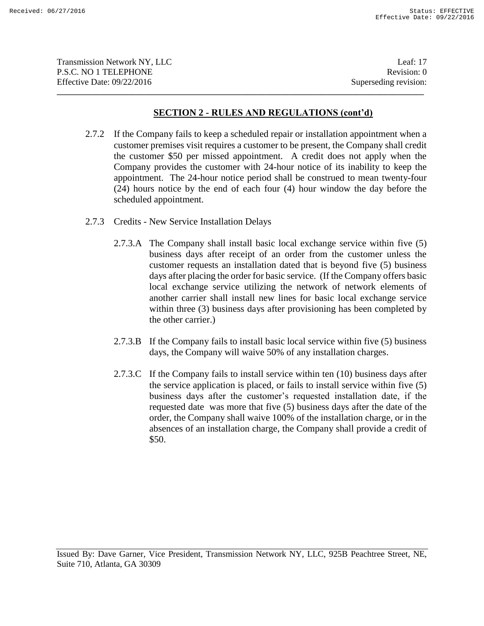Transmission Network NY, LLC 1999 and 1999 and 1999 and 1999 and 1999 and 1999 and 1999 and 1999 and 1999 and 1999 and 1999 and 1999 and 1999 and 1999 and 1999 and 1999 and 1999 and 1999 and 1999 and 1999 and 1999 and 1999 P.S.C. NO 1 TELEPHONE Revision: 0 Effective Date: 09/22/2016 Superseding revision: **\_\_\_\_\_\_\_\_\_\_\_\_\_\_\_\_\_\_\_\_\_\_\_\_\_\_\_\_\_\_\_\_\_\_\_\_\_\_\_\_\_\_\_\_\_\_\_\_\_\_\_\_\_\_\_\_\_\_\_\_\_\_\_\_\_\_\_\_\_\_\_\_\_\_\_\_\_\_\_\_\_\_\_\_\_\_\_\_\_\_\_\_\_**

### **SECTION 2 - RULES AND REGULATIONS (cont'd)**

- 2.7.2 If the Company fails to keep a scheduled repair or installation appointment when a customer premises visit requires a customer to be present, the Company shall credit the customer \$50 per missed appointment. A credit does not apply when the Company provides the customer with 24-hour notice of its inability to keep the appointment. The 24-hour notice period shall be construed to mean twenty-four (24) hours notice by the end of each four (4) hour window the day before the scheduled appointment.
- 2.7.3 Credits New Service Installation Delays
	- 2.7.3.A The Company shall install basic local exchange service within five (5) business days after receipt of an order from the customer unless the customer requests an installation dated that is beyond five (5) business days after placing the order for basic service. (If the Company offers basic local exchange service utilizing the network of network elements of another carrier shall install new lines for basic local exchange service within three (3) business days after provisioning has been completed by the other carrier.)
	- 2.7.3.B If the Company fails to install basic local service within five (5) business days, the Company will waive 50% of any installation charges.
	- 2.7.3.C If the Company fails to install service within ten (10) business days after the service application is placed, or fails to install service within five (5) business days after the customer's requested installation date, if the requested date was more that five (5) business days after the date of the order, the Company shall waive 100% of the installation charge, or in the absences of an installation charge, the Company shall provide a credit of \$50.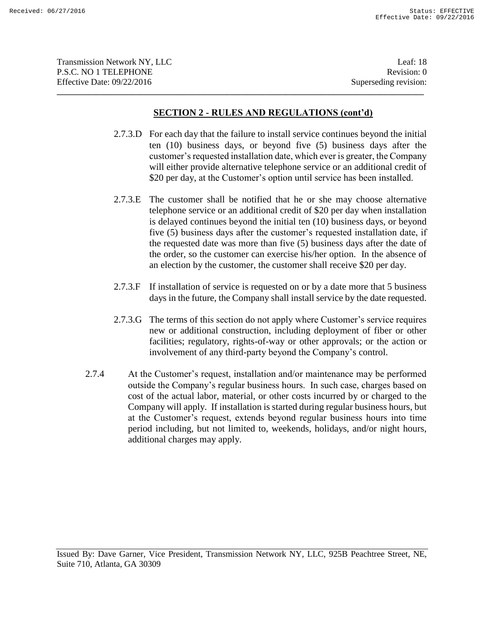| <b>Transmission Network NY, LLC</b> | Leaf: 18              |
|-------------------------------------|-----------------------|
| P.S.C. NO 1 TELEPHONE               | Revision: 0           |
| Effective Date: $09/22/2016$        | Superseding revision: |
|                                     |                       |

- 2.7.3.D For each day that the failure to install service continues beyond the initial ten (10) business days, or beyond five (5) business days after the customer's requested installation date, which ever is greater, the Company will either provide alternative telephone service or an additional credit of \$20 per day, at the Customer's option until service has been installed.
- 2.7.3.E The customer shall be notified that he or she may choose alternative telephone service or an additional credit of \$20 per day when installation is delayed continues beyond the initial ten (10) business days, or beyond five (5) business days after the customer's requested installation date, if the requested date was more than five (5) business days after the date of the order, so the customer can exercise his/her option. In the absence of an election by the customer, the customer shall receive \$20 per day.
- 2.7.3.F If installation of service is requested on or by a date more that 5 business days in the future, the Company shall install service by the date requested.
- 2.7.3.G The terms of this section do not apply where Customer's service requires new or additional construction, including deployment of fiber or other facilities; regulatory, rights-of-way or other approvals; or the action or involvement of any third-party beyond the Company's control.
- 2.7.4 At the Customer's request, installation and/or maintenance may be performed outside the Company's regular business hours. In such case, charges based on cost of the actual labor, material, or other costs incurred by or charged to the Company will apply. If installation is started during regular business hours, but at the Customer's request, extends beyond regular business hours into time period including, but not limited to, weekends, holidays, and/or night hours, additional charges may apply.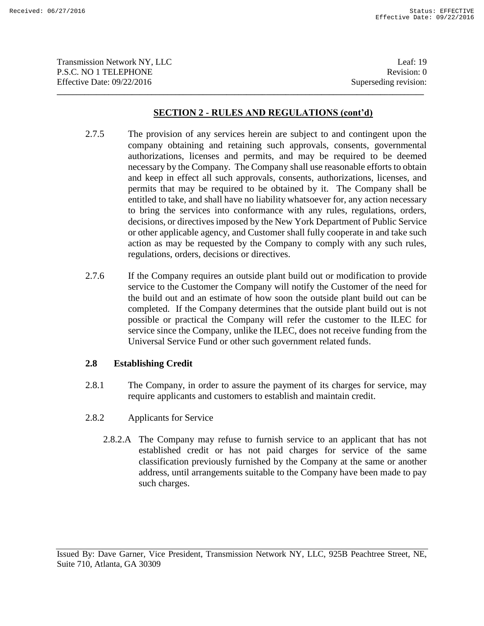Transmission Network NY, LLC 19 P.S.C. NO 1 TELEPHONE Revision: 0 Effective Date: 09/22/2016 Superseding revision: **\_\_\_\_\_\_\_\_\_\_\_\_\_\_\_\_\_\_\_\_\_\_\_\_\_\_\_\_\_\_\_\_\_\_\_\_\_\_\_\_\_\_\_\_\_\_\_\_\_\_\_\_\_\_\_\_\_\_\_\_\_\_\_\_\_\_\_\_\_\_\_\_\_\_\_\_\_\_\_\_\_\_\_\_\_\_\_\_\_\_\_\_\_**

# **SECTION 2 - RULES AND REGULATIONS (cont'd)**

- 2.7.5 The provision of any services herein are subject to and contingent upon the company obtaining and retaining such approvals, consents, governmental authorizations, licenses and permits, and may be required to be deemed necessary by the Company. The Company shall use reasonable efforts to obtain and keep in effect all such approvals, consents, authorizations, licenses, and permits that may be required to be obtained by it. The Company shall be entitled to take, and shall have no liability whatsoever for, any action necessary to bring the services into conformance with any rules, regulations, orders, decisions, or directives imposed by the New York Department of Public Service or other applicable agency, and Customer shall fully cooperate in and take such action as may be requested by the Company to comply with any such rules, regulations, orders, decisions or directives.
- 2.7.6 If the Company requires an outside plant build out or modification to provide service to the Customer the Company will notify the Customer of the need for the build out and an estimate of how soon the outside plant build out can be completed. If the Company determines that the outside plant build out is not possible or practical the Company will refer the customer to the ILEC for service since the Company, unlike the ILEC, does not receive funding from the Universal Service Fund or other such government related funds.

# **2.8 Establishing Credit**

- 2.8.1 The Company, in order to assure the payment of its charges for service, may require applicants and customers to establish and maintain credit.
- 2.8.2 Applicants for Service
	- 2.8.2.A The Company may refuse to furnish service to an applicant that has not established credit or has not paid charges for service of the same classification previously furnished by the Company at the same or another address, until arrangements suitable to the Company have been made to pay such charges.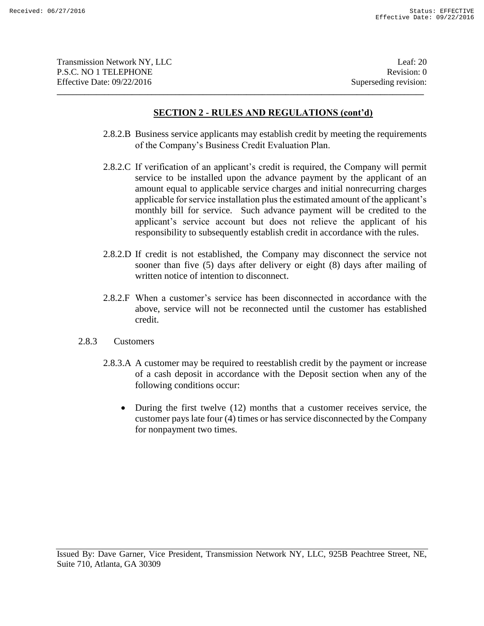| <b>Transmission Network NY, LLC</b> | Leaf: $20$            |
|-------------------------------------|-----------------------|
| <b>P.S.C. NO 1 TELEPHONE</b>        | Revision: 0           |
| Effective Date: $09/22/2016$        | Superseding revision: |
|                                     |                       |

- 2.8.2.B Business service applicants may establish credit by meeting the requirements of the Company's Business Credit Evaluation Plan.
- 2.8.2.C If verification of an applicant's credit is required, the Company will permit service to be installed upon the advance payment by the applicant of an amount equal to applicable service charges and initial nonrecurring charges applicable for service installation plus the estimated amount of the applicant's monthly bill for service. Such advance payment will be credited to the applicant's service account but does not relieve the applicant of his responsibility to subsequently establish credit in accordance with the rules.
- 2.8.2.D If credit is not established, the Company may disconnect the service not sooner than five (5) days after delivery or eight (8) days after mailing of written notice of intention to disconnect.
- 2.8.2.F When a customer's service has been disconnected in accordance with the above, service will not be reconnected until the customer has established credit.
- 2.8.3 Customers
	- 2.8.3.A A customer may be required to reestablish credit by the payment or increase of a cash deposit in accordance with the Deposit section when any of the following conditions occur:
		- During the first twelve (12) months that a customer receives service, the customer pays late four (4) times or has service disconnected by the Company for nonpayment two times.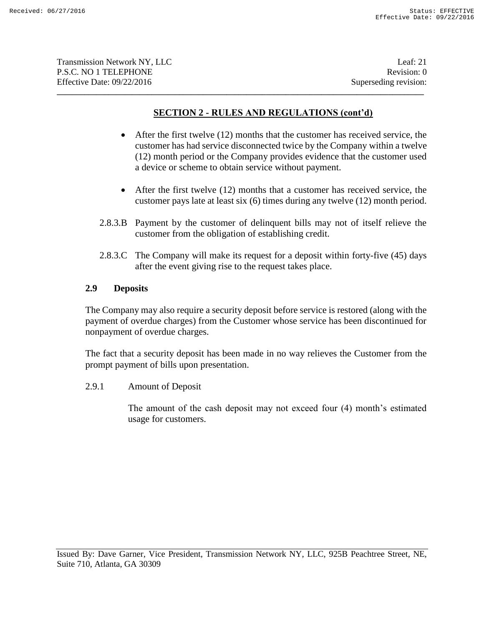| <b>Transmission Network NY, LLC</b> | Leaf: $21$            |
|-------------------------------------|-----------------------|
| <b>P.S.C. NO 1 TELEPHONE</b>        | Revision: 0           |
| Effective Date: $09/22/2016$        | Superseding revision: |
|                                     |                       |

- After the first twelve (12) months that the customer has received service, the customer has had service disconnected twice by the Company within a twelve (12) month period or the Company provides evidence that the customer used a device or scheme to obtain service without payment.
- After the first twelve (12) months that a customer has received service, the customer pays late at least six (6) times during any twelve (12) month period.
- 2.8.3.B Payment by the customer of delinquent bills may not of itself relieve the customer from the obligation of establishing credit.
- 2.8.3.C The Company will make its request for a deposit within forty-five (45) days after the event giving rise to the request takes place.

### **2.9 Deposits**

The Company may also require a security deposit before service is restored (along with the payment of overdue charges) from the Customer whose service has been discontinued for nonpayment of overdue charges.

The fact that a security deposit has been made in no way relieves the Customer from the prompt payment of bills upon presentation.

2.9.1 Amount of Deposit

The amount of the cash deposit may not exceed four (4) month's estimated usage for customers.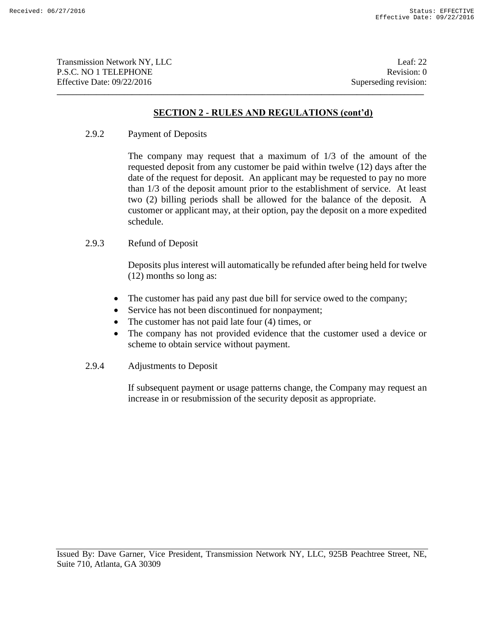# **SECTION 2 - RULES AND REGULATIONS (cont'd)**

**\_\_\_\_\_\_\_\_\_\_\_\_\_\_\_\_\_\_\_\_\_\_\_\_\_\_\_\_\_\_\_\_\_\_\_\_\_\_\_\_\_\_\_\_\_\_\_\_\_\_\_\_\_\_\_\_\_\_\_\_\_\_\_\_\_\_\_\_\_\_\_\_\_\_\_\_\_\_\_\_\_\_\_\_\_\_\_\_\_\_\_\_\_**

2.9.2 Payment of Deposits

The company may request that a maximum of 1/3 of the amount of the requested deposit from any customer be paid within twelve (12) days after the date of the request for deposit. An applicant may be requested to pay no more than 1/3 of the deposit amount prior to the establishment of service. At least two (2) billing periods shall be allowed for the balance of the deposit. A customer or applicant may, at their option, pay the deposit on a more expedited schedule.

2.9.3 Refund of Deposit

Deposits plus interest will automatically be refunded after being held for twelve (12) months so long as:

- The customer has paid any past due bill for service owed to the company;
- Service has not been discontinued for nonpayment;
- The customer has not paid late four (4) times, or
- The company has not provided evidence that the customer used a device or scheme to obtain service without payment.
- 2.9.4 Adjustments to Deposit

If subsequent payment or usage patterns change, the Company may request an increase in or resubmission of the security deposit as appropriate.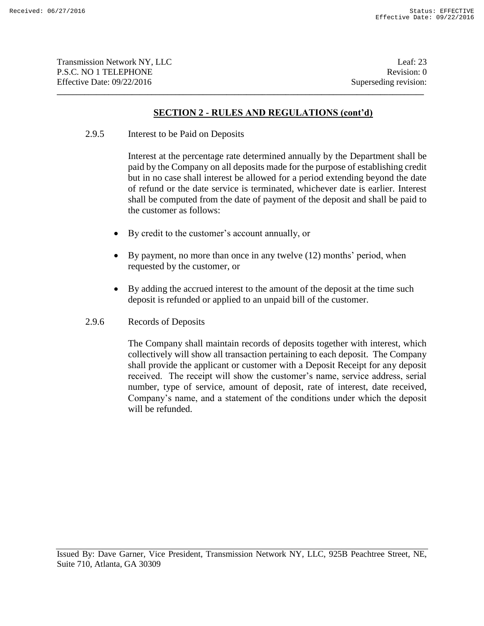# **SECTION 2 - RULES AND REGULATIONS (cont'd)**

**\_\_\_\_\_\_\_\_\_\_\_\_\_\_\_\_\_\_\_\_\_\_\_\_\_\_\_\_\_\_\_\_\_\_\_\_\_\_\_\_\_\_\_\_\_\_\_\_\_\_\_\_\_\_\_\_\_\_\_\_\_\_\_\_\_\_\_\_\_\_\_\_\_\_\_\_\_\_\_\_\_\_\_\_\_\_\_\_\_\_\_\_\_**

2.9.5 Interest to be Paid on Deposits

Interest at the percentage rate determined annually by the Department shall be paid by the Company on all deposits made for the purpose of establishing credit but in no case shall interest be allowed for a period extending beyond the date of refund or the date service is terminated, whichever date is earlier. Interest shall be computed from the date of payment of the deposit and shall be paid to the customer as follows:

- By credit to the customer's account annually, or
- By payment, no more than once in any twelve (12) months' period, when requested by the customer, or
- By adding the accrued interest to the amount of the deposit at the time such deposit is refunded or applied to an unpaid bill of the customer.
- 2.9.6 Records of Deposits

The Company shall maintain records of deposits together with interest, which collectively will show all transaction pertaining to each deposit. The Company shall provide the applicant or customer with a Deposit Receipt for any deposit received. The receipt will show the customer's name, service address, serial number, type of service, amount of deposit, rate of interest, date received, Company's name, and a statement of the conditions under which the deposit will be refunded.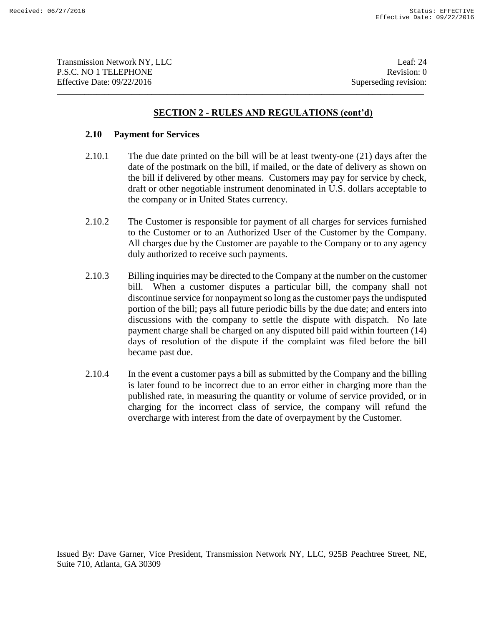# **SECTION 2 - RULES AND REGULATIONS (cont'd)**

**\_\_\_\_\_\_\_\_\_\_\_\_\_\_\_\_\_\_\_\_\_\_\_\_\_\_\_\_\_\_\_\_\_\_\_\_\_\_\_\_\_\_\_\_\_\_\_\_\_\_\_\_\_\_\_\_\_\_\_\_\_\_\_\_\_\_\_\_\_\_\_\_\_\_\_\_\_\_\_\_\_\_\_\_\_\_\_\_\_\_\_\_\_**

### **2.10 Payment for Services**

- 2.10.1 The due date printed on the bill will be at least twenty-one (21) days after the date of the postmark on the bill, if mailed, or the date of delivery as shown on the bill if delivered by other means. Customers may pay for service by check, draft or other negotiable instrument denominated in U.S. dollars acceptable to the company or in United States currency.
- 2.10.2 The Customer is responsible for payment of all charges for services furnished to the Customer or to an Authorized User of the Customer by the Company. All charges due by the Customer are payable to the Company or to any agency duly authorized to receive such payments.
- 2.10.3 Billing inquiries may be directed to the Company at the number on the customer bill. When a customer disputes a particular bill, the company shall not discontinue service for nonpayment so long as the customer pays the undisputed portion of the bill; pays all future periodic bills by the due date; and enters into discussions with the company to settle the dispute with dispatch. No late payment charge shall be charged on any disputed bill paid within fourteen (14) days of resolution of the dispute if the complaint was filed before the bill became past due.
- 2.10.4 In the event a customer pays a bill as submitted by the Company and the billing is later found to be incorrect due to an error either in charging more than the published rate, in measuring the quantity or volume of service provided, or in charging for the incorrect class of service, the company will refund the overcharge with interest from the date of overpayment by the Customer.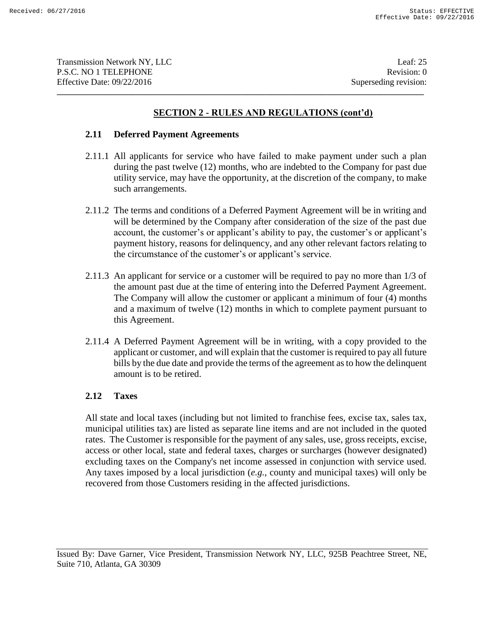Transmission Network NY, LLC 1999 and the contract of the contract of the contract of the contract of the contract of the contract of the contract of the contract of the contract of the contract of the contract of the cont P.S.C. NO 1 TELEPHONE Revision: 0 Effective Date: 09/22/2016 Superseding revision:

# **SECTION 2 - RULES AND REGULATIONS (cont'd)**

**\_\_\_\_\_\_\_\_\_\_\_\_\_\_\_\_\_\_\_\_\_\_\_\_\_\_\_\_\_\_\_\_\_\_\_\_\_\_\_\_\_\_\_\_\_\_\_\_\_\_\_\_\_\_\_\_\_\_\_\_\_\_\_\_\_\_\_\_\_\_\_\_\_\_\_\_\_\_\_\_\_\_\_\_\_\_\_\_\_\_\_\_\_**

### **2.11 Deferred Payment Agreements**

- 2.11.1 All applicants for service who have failed to make payment under such a plan during the past twelve (12) months, who are indebted to the Company for past due utility service, may have the opportunity, at the discretion of the company, to make such arrangements.
- 2.11.2 The terms and conditions of a Deferred Payment Agreement will be in writing and will be determined by the Company after consideration of the size of the past due account, the customer's or applicant's ability to pay, the customer's or applicant's payment history, reasons for delinquency, and any other relevant factors relating to the circumstance of the customer's or applicant's service.
- 2.11.3 An applicant for service or a customer will be required to pay no more than 1/3 of the amount past due at the time of entering into the Deferred Payment Agreement. The Company will allow the customer or applicant a minimum of four (4) months and a maximum of twelve (12) months in which to complete payment pursuant to this Agreement.
- 2.11.4 A Deferred Payment Agreement will be in writing, with a copy provided to the applicant or customer, and will explain that the customer is required to pay all future bills by the due date and provide the terms of the agreement as to how the delinquent amount is to be retired.

# **2.12 Taxes**

All state and local taxes (including but not limited to franchise fees, excise tax, sales tax, municipal utilities tax) are listed as separate line items and are not included in the quoted rates. The Customer is responsible for the payment of any sales, use, gross receipts, excise, access or other local, state and federal taxes, charges or surcharges (however designated) excluding taxes on the Company's net income assessed in conjunction with service used. Any taxes imposed by a local jurisdiction (*e.g.*, county and municipal taxes) will only be recovered from those Customers residing in the affected jurisdictions.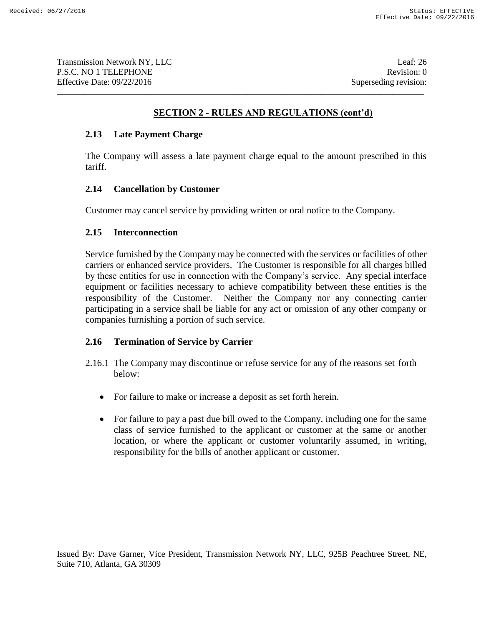# **SECTION 2 - RULES AND REGULATIONS (cont'd)**

### **2.13 Late Payment Charge**

The Company will assess a late payment charge equal to the amount prescribed in this tariff.

# **2.14 Cancellation by Customer**

Customer may cancel service by providing written or oral notice to the Company.

**\_\_\_\_\_\_\_\_\_\_\_\_\_\_\_\_\_\_\_\_\_\_\_\_\_\_\_\_\_\_\_\_\_\_\_\_\_\_\_\_\_\_\_\_\_\_\_\_\_\_\_\_\_\_\_\_\_\_\_\_\_\_\_\_\_\_\_\_\_\_\_\_\_\_\_\_\_\_\_\_\_\_\_\_\_\_\_\_\_\_\_\_\_**

### **2.15 Interconnection**

Service furnished by the Company may be connected with the services or facilities of other carriers or enhanced service providers. The Customer is responsible for all charges billed by these entities for use in connection with the Company's service. Any special interface equipment or facilities necessary to achieve compatibility between these entities is the responsibility of the Customer. Neither the Company nor any connecting carrier participating in a service shall be liable for any act or omission of any other company or companies furnishing a portion of such service.

# **2.16 Termination of Service by Carrier**

- 2.16.1 The Company may discontinue or refuse service for any of the reasons set forth below:
	- For failure to make or increase a deposit as set forth herein.
	- For failure to pay a past due bill owed to the Company, including one for the same class of service furnished to the applicant or customer at the same or another location, or where the applicant or customer voluntarily assumed, in writing, responsibility for the bills of another applicant or customer.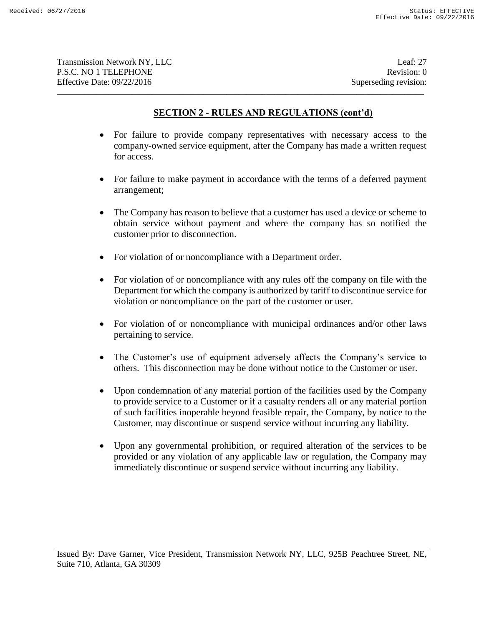# **SECTION 2 - RULES AND REGULATIONS (cont'd)**

**\_\_\_\_\_\_\_\_\_\_\_\_\_\_\_\_\_\_\_\_\_\_\_\_\_\_\_\_\_\_\_\_\_\_\_\_\_\_\_\_\_\_\_\_\_\_\_\_\_\_\_\_\_\_\_\_\_\_\_\_\_\_\_\_\_\_\_\_\_\_\_\_\_\_\_\_\_\_\_\_\_\_\_\_\_\_\_\_\_\_\_\_\_**

- For failure to provide company representatives with necessary access to the company-owned service equipment, after the Company has made a written request for access.
- For failure to make payment in accordance with the terms of a deferred payment arrangement;
- The Company has reason to believe that a customer has used a device or scheme to obtain service without payment and where the company has so notified the customer prior to disconnection.
- For violation of or noncompliance with a Department order.
- For violation of or noncompliance with any rules off the company on file with the Department for which the company is authorized by tariff to discontinue service for violation or noncompliance on the part of the customer or user.
- For violation of or noncompliance with municipal ordinances and/or other laws pertaining to service.
- The Customer's use of equipment adversely affects the Company's service to others. This disconnection may be done without notice to the Customer or user.
- Upon condemnation of any material portion of the facilities used by the Company to provide service to a Customer or if a casualty renders all or any material portion of such facilities inoperable beyond feasible repair, the Company, by notice to the Customer, may discontinue or suspend service without incurring any liability.
- Upon any governmental prohibition, or required alteration of the services to be provided or any violation of any applicable law or regulation, the Company may immediately discontinue or suspend service without incurring any liability.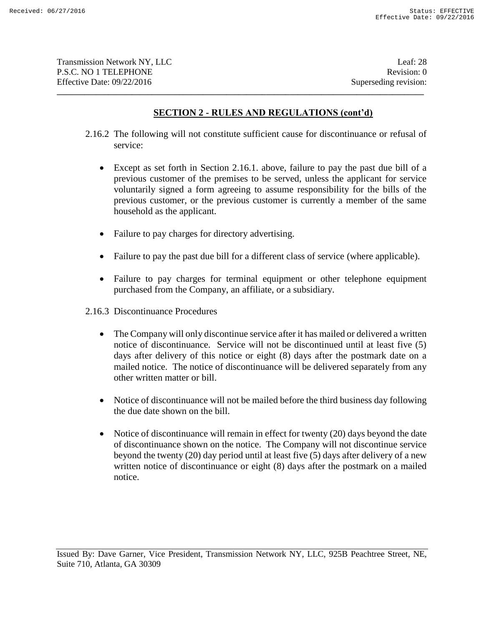# **SECTION 2 - RULES AND REGULATIONS (cont'd)**

2.16.2 The following will not constitute sufficient cause for discontinuance or refusal of service:

**\_\_\_\_\_\_\_\_\_\_\_\_\_\_\_\_\_\_\_\_\_\_\_\_\_\_\_\_\_\_\_\_\_\_\_\_\_\_\_\_\_\_\_\_\_\_\_\_\_\_\_\_\_\_\_\_\_\_\_\_\_\_\_\_\_\_\_\_\_\_\_\_\_\_\_\_\_\_\_\_\_\_\_\_\_\_\_\_\_\_\_\_\_**

- Except as set forth in Section 2.16.1. above, failure to pay the past due bill of a previous customer of the premises to be served, unless the applicant for service voluntarily signed a form agreeing to assume responsibility for the bills of the previous customer, or the previous customer is currently a member of the same household as the applicant.
- Failure to pay charges for directory advertising.
- Failure to pay the past due bill for a different class of service (where applicable).
- Failure to pay charges for terminal equipment or other telephone equipment purchased from the Company, an affiliate, or a subsidiary.
- 2.16.3 Discontinuance Procedures
	- The Company will only discontinue service after it has mailed or delivered a written notice of discontinuance. Service will not be discontinued until at least five (5) days after delivery of this notice or eight (8) days after the postmark date on a mailed notice. The notice of discontinuance will be delivered separately from any other written matter or bill.
	- Notice of discontinuance will not be mailed before the third business day following the due date shown on the bill.
	- Notice of discontinuance will remain in effect for twenty (20) days beyond the date of discontinuance shown on the notice. The Company will not discontinue service beyond the twenty (20) day period until at least five (5) days after delivery of a new written notice of discontinuance or eight (8) days after the postmark on a mailed notice.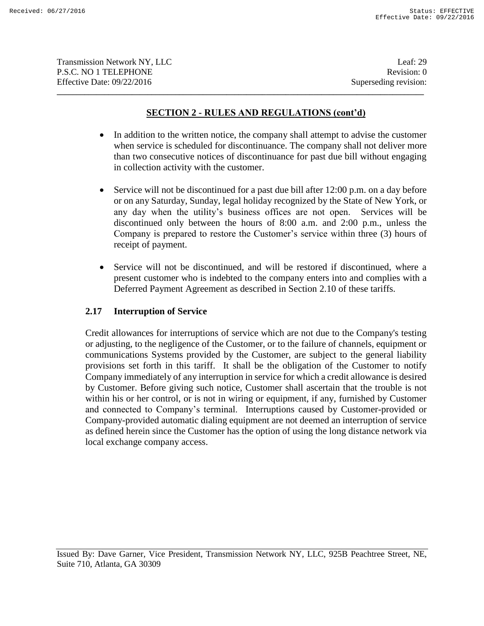# **SECTION 2 - RULES AND REGULATIONS (cont'd)**

**\_\_\_\_\_\_\_\_\_\_\_\_\_\_\_\_\_\_\_\_\_\_\_\_\_\_\_\_\_\_\_\_\_\_\_\_\_\_\_\_\_\_\_\_\_\_\_\_\_\_\_\_\_\_\_\_\_\_\_\_\_\_\_\_\_\_\_\_\_\_\_\_\_\_\_\_\_\_\_\_\_\_\_\_\_\_\_\_\_\_\_\_\_**

- In addition to the written notice, the company shall attempt to advise the customer when service is scheduled for discontinuance. The company shall not deliver more than two consecutive notices of discontinuance for past due bill without engaging in collection activity with the customer.
- Service will not be discontinued for a past due bill after 12:00 p.m. on a day before or on any Saturday, Sunday, legal holiday recognized by the State of New York, or any day when the utility's business offices are not open. Services will be discontinued only between the hours of 8:00 a.m. and 2:00 p.m., unless the Company is prepared to restore the Customer's service within three (3) hours of receipt of payment.
- Service will not be discontinued, and will be restored if discontinued, where a present customer who is indebted to the company enters into and complies with a Deferred Payment Agreement as described in Section 2.10 of these tariffs.

### **2.17 Interruption of Service**

Credit allowances for interruptions of service which are not due to the Company's testing or adjusting, to the negligence of the Customer, or to the failure of channels, equipment or communications Systems provided by the Customer, are subject to the general liability provisions set forth in this tariff. It shall be the obligation of the Customer to notify Company immediately of any interruption in service for which a credit allowance is desired by Customer. Before giving such notice, Customer shall ascertain that the trouble is not within his or her control, or is not in wiring or equipment, if any, furnished by Customer and connected to Company's terminal. Interruptions caused by Customer-provided or Company-provided automatic dialing equipment are not deemed an interruption of service as defined herein since the Customer has the option of using the long distance network via local exchange company access.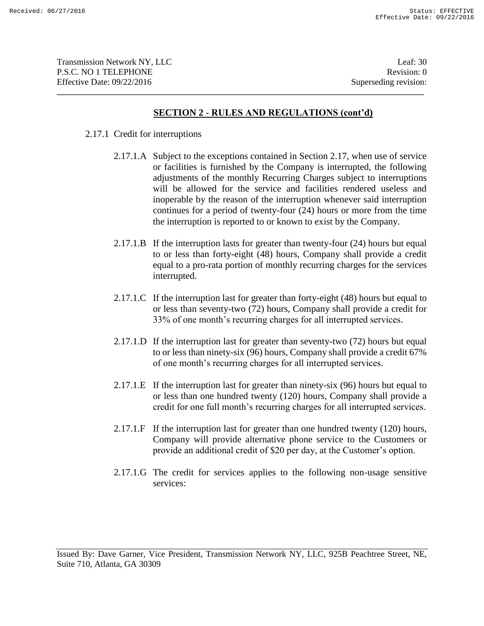### **SECTION 2 - RULES AND REGULATIONS (cont'd)**

**\_\_\_\_\_\_\_\_\_\_\_\_\_\_\_\_\_\_\_\_\_\_\_\_\_\_\_\_\_\_\_\_\_\_\_\_\_\_\_\_\_\_\_\_\_\_\_\_\_\_\_\_\_\_\_\_\_\_\_\_\_\_\_\_\_\_\_\_\_\_\_\_\_\_\_\_\_\_\_\_\_\_\_\_\_\_\_\_\_\_\_\_\_**

#### 2.17.1 Credit for interruptions

- 2.17.1.A Subject to the exceptions contained in Section 2.17, when use of service or facilities is furnished by the Company is interrupted, the following adjustments of the monthly Recurring Charges subject to interruptions will be allowed for the service and facilities rendered useless and inoperable by the reason of the interruption whenever said interruption continues for a period of twenty-four (24) hours or more from the time the interruption is reported to or known to exist by the Company.
- 2.17.1.B If the interruption lasts for greater than twenty-four (24) hours but equal to or less than forty-eight (48) hours, Company shall provide a credit equal to a pro-rata portion of monthly recurring charges for the services interrupted.
- 2.17.1.C If the interruption last for greater than forty-eight (48) hours but equal to or less than seventy-two (72) hours, Company shall provide a credit for 33% of one month's recurring charges for all interrupted services.
- 2.17.1.D If the interruption last for greater than seventy-two (72) hours but equal to or less than ninety-six (96) hours, Company shall provide a credit 67% of one month's recurring charges for all interrupted services.
- 2.17.1.E If the interruption last for greater than ninety-six (96) hours but equal to or less than one hundred twenty (120) hours, Company shall provide a credit for one full month's recurring charges for all interrupted services.
- 2.17.1.F If the interruption last for greater than one hundred twenty (120) hours, Company will provide alternative phone service to the Customers or provide an additional credit of \$20 per day, at the Customer's option.
- 2.17.1.G The credit for services applies to the following non-usage sensitive services: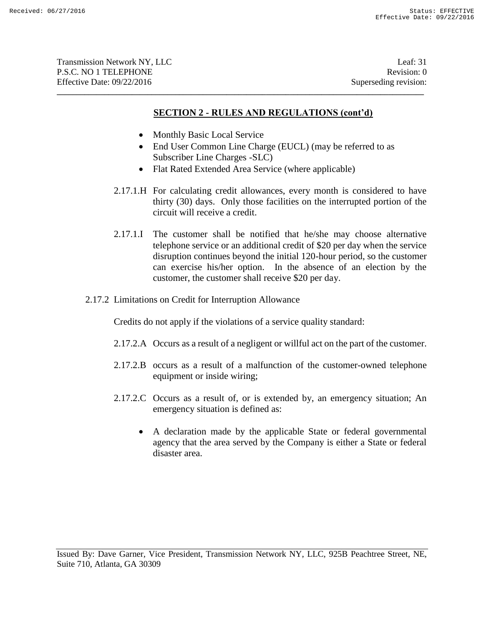| Transmission Network NY, LLC | Leaf: $31$            |
|------------------------------|-----------------------|
| P.S.C. NO 1 TELEPHONE        | Revision: 0           |
| Effective Date: 09/22/2016   | Superseding revision: |
|                              |                       |

- Monthly Basic Local Service
- End User Common Line Charge (EUCL) (may be referred to as Subscriber Line Charges -SLC)
- Flat Rated Extended Area Service (where applicable)
- 2.17.1.H For calculating credit allowances, every month is considered to have thirty (30) days. Only those facilities on the interrupted portion of the circuit will receive a credit.
- 2.17.1.I The customer shall be notified that he/she may choose alternative telephone service or an additional credit of \$20 per day when the service disruption continues beyond the initial 120-hour period, so the customer can exercise his/her option. In the absence of an election by the customer, the customer shall receive \$20 per day.
- 2.17.2 Limitations on Credit for Interruption Allowance

Credits do not apply if the violations of a service quality standard:

- 2.17.2.A Occurs as a result of a negligent or willful act on the part of the customer.
- 2.17.2.B occurs as a result of a malfunction of the customer-owned telephone equipment or inside wiring;
- 2.17.2.C Occurs as a result of, or is extended by, an emergency situation; An emergency situation is defined as:
	- A declaration made by the applicable State or federal governmental agency that the area served by the Company is either a State or federal disaster area.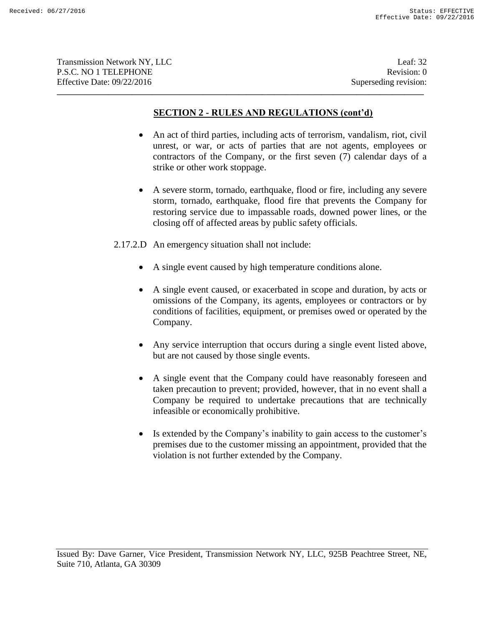# **SECTION 2 - RULES AND REGULATIONS (cont'd)**

**\_\_\_\_\_\_\_\_\_\_\_\_\_\_\_\_\_\_\_\_\_\_\_\_\_\_\_\_\_\_\_\_\_\_\_\_\_\_\_\_\_\_\_\_\_\_\_\_\_\_\_\_\_\_\_\_\_\_\_\_\_\_\_\_\_\_\_\_\_\_\_\_\_\_\_\_\_\_\_\_\_\_\_\_\_\_\_\_\_\_\_\_\_**

- An act of third parties, including acts of terrorism, vandalism, riot, civil unrest, or war, or acts of parties that are not agents, employees or contractors of the Company, or the first seven (7) calendar days of a strike or other work stoppage.
- A severe storm, tornado, earthquake, flood or fire, including any severe storm, tornado, earthquake, flood fire that prevents the Company for restoring service due to impassable roads, downed power lines, or the closing off of affected areas by public safety officials.

2.17.2.D An emergency situation shall not include:

- A single event caused by high temperature conditions alone.
- A single event caused, or exacerbated in scope and duration, by acts or omissions of the Company, its agents, employees or contractors or by conditions of facilities, equipment, or premises owed or operated by the Company.
- Any service interruption that occurs during a single event listed above, but are not caused by those single events.
- A single event that the Company could have reasonably foreseen and taken precaution to prevent; provided, however, that in no event shall a Company be required to undertake precautions that are technically infeasible or economically prohibitive.
- Is extended by the Company's inability to gain access to the customer's premises due to the customer missing an appointment, provided that the violation is not further extended by the Company.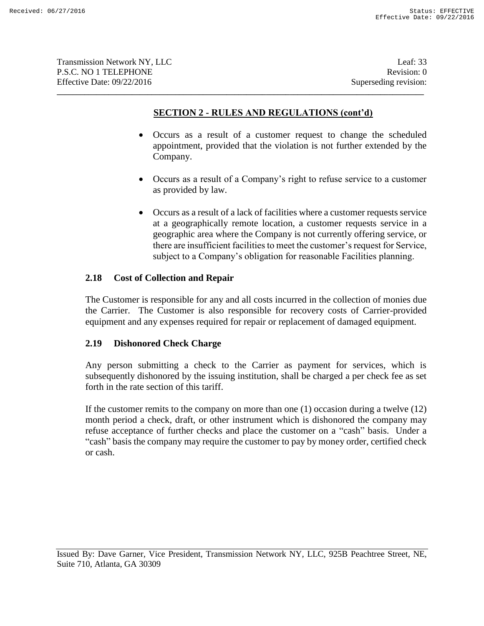**Transmission Network NY, LLC** Leaf: 33 P.S.C. NO 1 TELEPHONE Revision: 0 Effective Date: 09/22/2016 Superseding revision:

# **SECTION 2 - RULES AND REGULATIONS (cont'd)**

**\_\_\_\_\_\_\_\_\_\_\_\_\_\_\_\_\_\_\_\_\_\_\_\_\_\_\_\_\_\_\_\_\_\_\_\_\_\_\_\_\_\_\_\_\_\_\_\_\_\_\_\_\_\_\_\_\_\_\_\_\_\_\_\_\_\_\_\_\_\_\_\_\_\_\_\_\_\_\_\_\_\_\_\_\_\_\_\_\_\_\_\_\_**

- Occurs as a result of a customer request to change the scheduled appointment, provided that the violation is not further extended by the Company.
- Occurs as a result of a Company's right to refuse service to a customer as provided by law.
- Occurs as a result of a lack of facilities where a customer requests service at a geographically remote location, a customer requests service in a geographic area where the Company is not currently offering service, or there are insufficient facilities to meet the customer's request for Service, subject to a Company's obligation for reasonable Facilities planning.

# **2.18 Cost of Collection and Repair**

The Customer is responsible for any and all costs incurred in the collection of monies due the Carrier. The Customer is also responsible for recovery costs of Carrier-provided equipment and any expenses required for repair or replacement of damaged equipment.

# **2.19 Dishonored Check Charge**

Any person submitting a check to the Carrier as payment for services, which is subsequently dishonored by the issuing institution, shall be charged a per check fee as set forth in the rate section of this tariff.

If the customer remits to the company on more than one (1) occasion during a twelve (12) month period a check, draft, or other instrument which is dishonored the company may refuse acceptance of further checks and place the customer on a "cash" basis. Under a "cash" basis the company may require the customer to pay by money order, certified check or cash.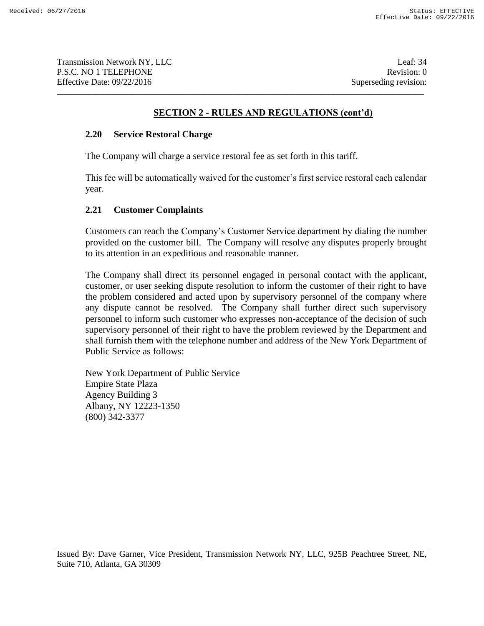# **SECTION 2 - RULES AND REGULATIONS (cont'd)**

**\_\_\_\_\_\_\_\_\_\_\_\_\_\_\_\_\_\_\_\_\_\_\_\_\_\_\_\_\_\_\_\_\_\_\_\_\_\_\_\_\_\_\_\_\_\_\_\_\_\_\_\_\_\_\_\_\_\_\_\_\_\_\_\_\_\_\_\_\_\_\_\_\_\_\_\_\_\_\_\_\_\_\_\_\_\_\_\_\_\_\_\_\_**

### **2.20 Service Restoral Charge**

The Company will charge a service restoral fee as set forth in this tariff.

This fee will be automatically waived for the customer's first service restoral each calendar year.

### **2.21 Customer Complaints**

Customers can reach the Company's Customer Service department by dialing the number provided on the customer bill. The Company will resolve any disputes properly brought to its attention in an expeditious and reasonable manner.

The Company shall direct its personnel engaged in personal contact with the applicant, customer, or user seeking dispute resolution to inform the customer of their right to have the problem considered and acted upon by supervisory personnel of the company where any dispute cannot be resolved. The Company shall further direct such supervisory personnel to inform such customer who expresses non-acceptance of the decision of such supervisory personnel of their right to have the problem reviewed by the Department and shall furnish them with the telephone number and address of the New York Department of Public Service as follows:

New York Department of Public Service Empire State Plaza Agency Building 3 Albany, NY 12223-1350 (800) 342-3377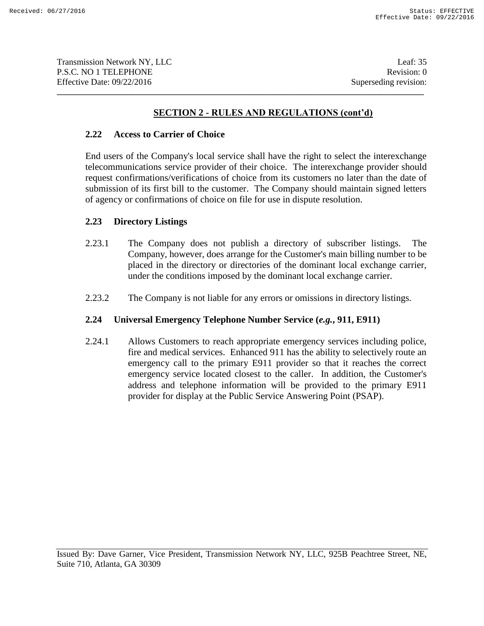Transmission Network NY, LLC 1999 and the set of the set of the set of the set of the set of the set of the set of the set of the set of the set of the set of the set of the set of the set of the set of the set of the set P.S.C. NO 1 TELEPHONE Revision: 0 Effective Date: 09/22/2016 Superseding revision:

# **SECTION 2 - RULES AND REGULATIONS (cont'd)**

**\_\_\_\_\_\_\_\_\_\_\_\_\_\_\_\_\_\_\_\_\_\_\_\_\_\_\_\_\_\_\_\_\_\_\_\_\_\_\_\_\_\_\_\_\_\_\_\_\_\_\_\_\_\_\_\_\_\_\_\_\_\_\_\_\_\_\_\_\_\_\_\_\_\_\_\_\_\_\_\_\_\_\_\_\_\_\_\_\_\_\_\_\_**

### **2.22 Access to Carrier of Choice**

End users of the Company's local service shall have the right to select the interexchange telecommunications service provider of their choice. The interexchange provider should request confirmations/verifications of choice from its customers no later than the date of submission of its first bill to the customer. The Company should maintain signed letters of agency or confirmations of choice on file for use in dispute resolution.

### **2.23 Directory Listings**

- 2.23.1 The Company does not publish a directory of subscriber listings. The Company, however, does arrange for the Customer's main billing number to be placed in the directory or directories of the dominant local exchange carrier, under the conditions imposed by the dominant local exchange carrier.
- 2.23.2 The Company is not liable for any errors or omissions in directory listings.

### **2.24 Universal Emergency Telephone Number Service (***e.g.***, 911, E911)**

2.24.1 Allows Customers to reach appropriate emergency services including police, fire and medical services. Enhanced 911 has the ability to selectively route an emergency call to the primary E911 provider so that it reaches the correct emergency service located closest to the caller. In addition, the Customer's address and telephone information will be provided to the primary E911 provider for display at the Public Service Answering Point (PSAP).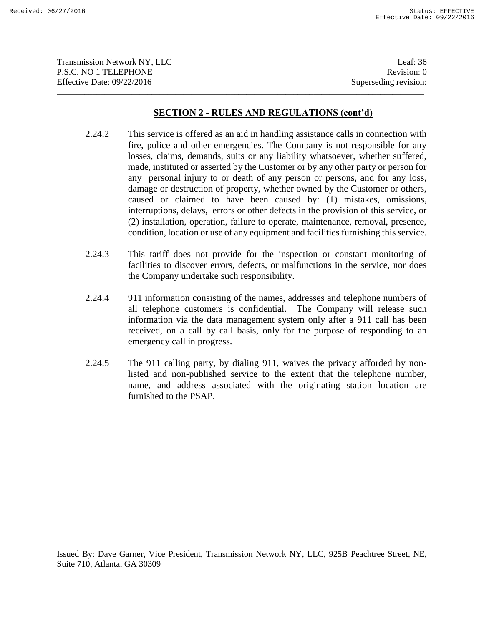| <b>Transmission Network NY, LLC</b> | Leaf: $36$            |
|-------------------------------------|-----------------------|
| P.S.C. NO 1 TELEPHONE               | Revision: 0           |
| Effective Date: 09/22/2016          | Superseding revision: |
|                                     |                       |

- 2.24.2 This service is offered as an aid in handling assistance calls in connection with fire, police and other emergencies. The Company is not responsible for any losses, claims, demands, suits or any liability whatsoever, whether suffered, made, instituted or asserted by the Customer or by any other party or person for any personal injury to or death of any person or persons, and for any loss, damage or destruction of property, whether owned by the Customer or others, caused or claimed to have been caused by: (1) mistakes, omissions, interruptions, delays, errors or other defects in the provision of this service, or (2) installation, operation, failure to operate, maintenance, removal, presence, condition, location or use of any equipment and facilities furnishing this service.
- 2.24.3 This tariff does not provide for the inspection or constant monitoring of facilities to discover errors, defects, or malfunctions in the service, nor does the Company undertake such responsibility.
- 2.24.4 911 information consisting of the names, addresses and telephone numbers of all telephone customers is confidential. The Company will release such information via the data management system only after a 911 call has been received, on a call by call basis, only for the purpose of responding to an emergency call in progress.
- 2.24.5 The 911 calling party, by dialing 911, waives the privacy afforded by nonlisted and non-published service to the extent that the telephone number, name, and address associated with the originating station location are furnished to the PSAP.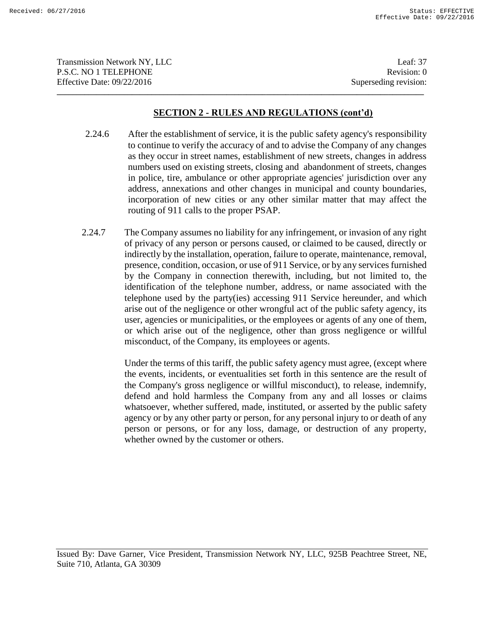| <b>Transmission Network NY, LLC</b> | Leaf: $37$            |
|-------------------------------------|-----------------------|
| P.S.C. NO 1 TELEPHONE               | Revision: 0           |
| Effective Date: 09/22/2016          | Superseding revision: |
|                                     |                       |

- 2.24.6 After the establishment of service, it is the public safety agency's responsibility to continue to verify the accuracy of and to advise the Company of any changes as they occur in street names, establishment of new streets, changes in address numbers used on existing streets, closing and abandonment of streets, changes in police, tire, ambulance or other appropriate agencies' jurisdiction over any address, annexations and other changes in municipal and county boundaries, incorporation of new cities or any other similar matter that may affect the routing of 911 calls to the proper PSAP.
- 2.24.7 The Company assumes no liability for any infringement, or invasion of any right of privacy of any person or persons caused, or claimed to be caused, directly or indirectly by the installation, operation, failure to operate, maintenance, removal, presence, condition, occasion, or use of 911 Service, or by any services furnished by the Company in connection therewith, including, but not limited to, the identification of the telephone number, address, or name associated with the telephone used by the party(ies) accessing 911 Service hereunder, and which arise out of the negligence or other wrongful act of the public safety agency, its user, agencies or municipalities, or the employees or agents of any one of them, or which arise out of the negligence, other than gross negligence or willful misconduct, of the Company, its employees or agents.

Under the terms of this tariff, the public safety agency must agree, (except where the events, incidents, or eventualities set forth in this sentence are the result of the Company's gross negligence or willful misconduct), to release, indemnify, defend and hold harmless the Company from any and all losses or claims whatsoever, whether suffered, made, instituted, or asserted by the public safety agency or by any other party or person, for any personal injury to or death of any person or persons, or for any loss, damage, or destruction of any property, whether owned by the customer or others.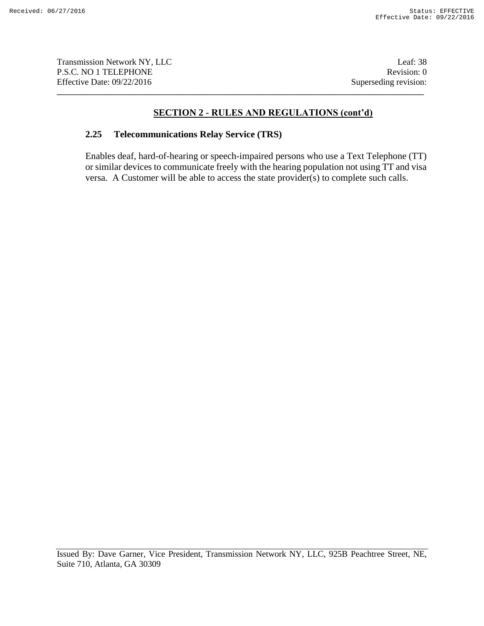Transmission Network NY, LLC Leaf: 38 P.S.C. NO 1 TELEPHONE Revision: 0 Effective Date: 09/22/2016 Superseding revision:

# **SECTION 2 - RULES AND REGULATIONS (cont'd)**

**\_\_\_\_\_\_\_\_\_\_\_\_\_\_\_\_\_\_\_\_\_\_\_\_\_\_\_\_\_\_\_\_\_\_\_\_\_\_\_\_\_\_\_\_\_\_\_\_\_\_\_\_\_\_\_\_\_\_\_\_\_\_\_\_\_\_\_\_\_\_\_\_\_\_\_\_\_\_\_\_\_\_\_\_\_\_\_\_\_\_\_\_\_**

### **2.25 Telecommunications Relay Service (TRS)**

Enables deaf, hard-of-hearing or speech-impaired persons who use a Text Telephone (TT) or similar devices to communicate freely with the hearing population not using TT and visa versa. A Customer will be able to access the state provider(s) to complete such calls.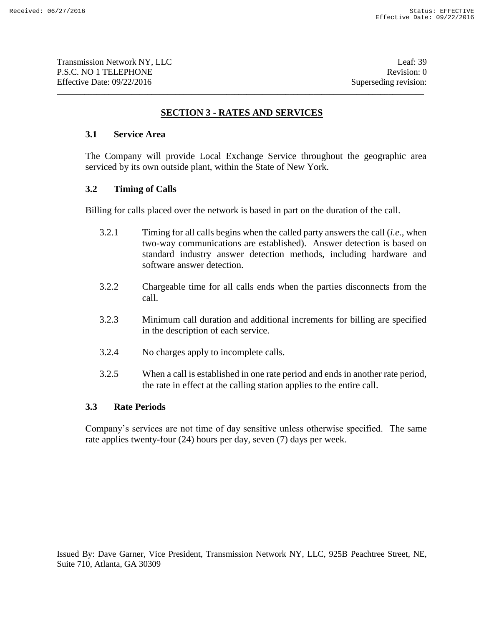# **SECTION 3 - RATES AND SERVICES**

**\_\_\_\_\_\_\_\_\_\_\_\_\_\_\_\_\_\_\_\_\_\_\_\_\_\_\_\_\_\_\_\_\_\_\_\_\_\_\_\_\_\_\_\_\_\_\_\_\_\_\_\_\_\_\_\_\_\_\_\_\_\_\_\_\_\_\_\_\_\_\_\_\_\_\_\_\_\_\_\_\_\_\_\_\_\_\_\_\_\_\_\_\_**

# **3.1 Service Area**

The Company will provide Local Exchange Service throughout the geographic area serviced by its own outside plant, within the State of New York.

# **3.2 Timing of Calls**

Billing for calls placed over the network is based in part on the duration of the call.

- 3.2.1 Timing for all calls begins when the called party answers the call (*i.e.*, when two-way communications are established). Answer detection is based on standard industry answer detection methods, including hardware and software answer detection.
- 3.2.2 Chargeable time for all calls ends when the parties disconnects from the call.
- 3.2.3 Minimum call duration and additional increments for billing are specified in the description of each service.
- 3.2.4 No charges apply to incomplete calls.
- 3.2.5 When a call is established in one rate period and ends in another rate period, the rate in effect at the calling station applies to the entire call.

# **3.3 Rate Periods**

Company's services are not time of day sensitive unless otherwise specified. The same rate applies twenty-four (24) hours per day, seven (7) days per week.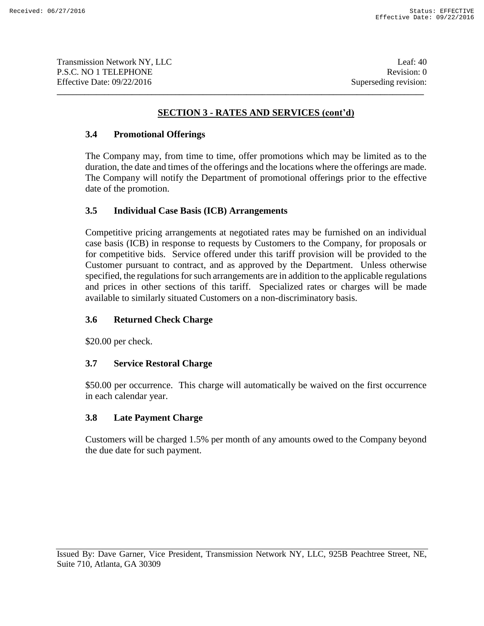# **SECTION 3 - RATES AND SERVICES (cont'd)**

**\_\_\_\_\_\_\_\_\_\_\_\_\_\_\_\_\_\_\_\_\_\_\_\_\_\_\_\_\_\_\_\_\_\_\_\_\_\_\_\_\_\_\_\_\_\_\_\_\_\_\_\_\_\_\_\_\_\_\_\_\_\_\_\_\_\_\_\_\_\_\_\_\_\_\_\_\_\_\_\_\_\_\_\_\_\_\_\_\_\_\_\_\_**

### **3.4 Promotional Offerings**

The Company may, from time to time, offer promotions which may be limited as to the duration, the date and times of the offerings and the locations where the offerings are made. The Company will notify the Department of promotional offerings prior to the effective date of the promotion.

### **3.5 Individual Case Basis (ICB) Arrangements**

Competitive pricing arrangements at negotiated rates may be furnished on an individual case basis (ICB) in response to requests by Customers to the Company, for proposals or for competitive bids. Service offered under this tariff provision will be provided to the Customer pursuant to contract, and as approved by the Department. Unless otherwise specified, the regulations for such arrangements are in addition to the applicable regulations and prices in other sections of this tariff. Specialized rates or charges will be made available to similarly situated Customers on a non-discriminatory basis.

# **3.6 Returned Check Charge**

\$20.00 per check.

#### **3.7 Service Restoral Charge**

\$50.00 per occurrence. This charge will automatically be waived on the first occurrence in each calendar year.

#### **3.8 Late Payment Charge**

Customers will be charged 1.5% per month of any amounts owed to the Company beyond the due date for such payment.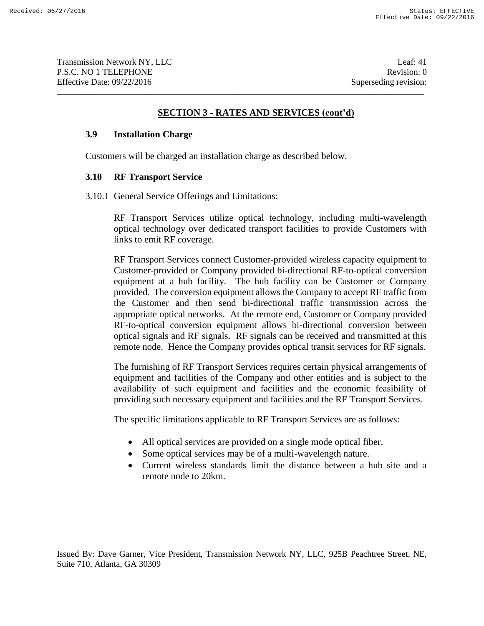# **SECTION 3 - RATES AND SERVICES (cont'd)**

**\_\_\_\_\_\_\_\_\_\_\_\_\_\_\_\_\_\_\_\_\_\_\_\_\_\_\_\_\_\_\_\_\_\_\_\_\_\_\_\_\_\_\_\_\_\_\_\_\_\_\_\_\_\_\_\_\_\_\_\_\_\_\_\_\_\_\_\_\_\_\_\_\_\_\_\_\_\_\_\_\_\_\_\_\_\_\_\_\_\_\_\_\_**

# **3.9 Installation Charge**

Customers will be charged an installation charge as described below.

### **3.10 RF Transport Service**

3.10.1 General Service Offerings and Limitations:

RF Transport Services utilize optical technology, including multi-wavelength optical technology over dedicated transport facilities to provide Customers with links to emit RF coverage.

RF Transport Services connect Customer-provided wireless capacity equipment to Customer-provided or Company provided bi-directional RF-to-optical conversion equipment at a hub facility. The hub facility can be Customer or Company provided. The conversion equipment allows the Company to accept RF traffic from the Customer and then send bi-directional traffic transmission across the appropriate optical networks. At the remote end, Customer or Company provided RF-to-optical conversion equipment allows bi-directional conversion between optical signals and RF signals. RF signals can be received and transmitted at this remote node. Hence the Company provides optical transit services for RF signals.

The furnishing of RF Transport Services requires certain physical arrangements of equipment and facilities of the Company and other entities and is subject to the availability of such equipment and facilities and the economic feasibility of providing such necessary equipment and facilities and the RF Transport Services.

The specific limitations applicable to RF Transport Services are as follows:

- All optical services are provided on a single mode optical fiber.
- Some optical services may be of a multi-wavelength nature.
- Current wireless standards limit the distance between a hub site and a remote node to 20km.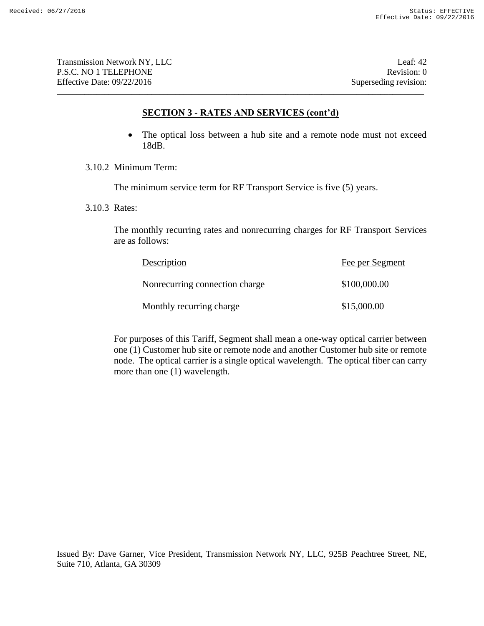### **SECTION 3 - RATES AND SERVICES (cont'd)**

**\_\_\_\_\_\_\_\_\_\_\_\_\_\_\_\_\_\_\_\_\_\_\_\_\_\_\_\_\_\_\_\_\_\_\_\_\_\_\_\_\_\_\_\_\_\_\_\_\_\_\_\_\_\_\_\_\_\_\_\_\_\_\_\_\_\_\_\_\_\_\_\_\_\_\_\_\_\_\_\_\_\_\_\_\_\_\_\_\_\_\_\_\_**

- The optical loss between a hub site and a remote node must not exceed 18dB.
- 3.10.2 Minimum Term:

The minimum service term for RF Transport Service is five (5) years.

3.10.3 Rates:

The monthly recurring rates and nonrecurring charges for RF Transport Services are as follows:

| Description                    | Fee per Segment |
|--------------------------------|-----------------|
| Nonrecurring connection charge | \$100,000.00    |
| Monthly recurring charge       | \$15,000.00     |

For purposes of this Tariff, Segment shall mean a one-way optical carrier between one (1) Customer hub site or remote node and another Customer hub site or remote node. The optical carrier is a single optical wavelength. The optical fiber can carry more than one (1) wavelength.